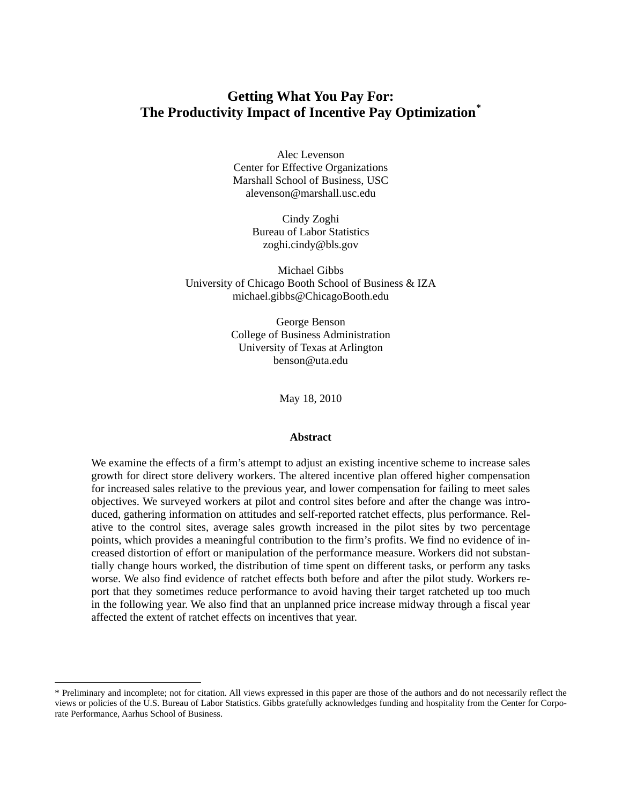# **Getting What You Pay For: The Productivity Impact of Incentive Pay Optimization[\\*](#page-0-0)**

Alec Levenson Center for Effective Organizations Marshall School of Business, USC alevenson@marshall.usc.edu

> Cindy Zoghi Bureau of Labor Statistics zoghi.cindy@bls.gov

Michael Gibbs University of Chicago Booth School of Business & IZA michael.gibbs@ChicagoBooth.edu

> George Benson College of Business Administration University of Texas at Arlington benson@uta.edu

> > May 18, 2010

#### **Abstract**

We examine the effects of a firm's attempt to adjust an existing incentive scheme to increase sales growth for direct store delivery workers. The altered incentive plan offered higher compensation for increased sales relative to the previous year, and lower compensation for failing to meet sales objectives. We surveyed workers at pilot and control sites before and after the change was introduced, gathering information on attitudes and self-reported ratchet effects, plus performance. Relative to the control sites, average sales growth increased in the pilot sites by two percentage points, which provides a meaningful contribution to the firm's profits. We find no evidence of increased distortion of effort or manipulation of the performance measure. Workers did not substantially change hours worked, the distribution of time spent on different tasks, or perform any tasks worse. We also find evidence of ratchet effects both before and after the pilot study. Workers report that they sometimes reduce performance to avoid having their target ratcheted up too much in the following year. We also find that an unplanned price increase midway through a fiscal year affected the extent of ratchet effects on incentives that year.

<span id="page-0-0"></span> <sup>\*</sup> Preliminary and incomplete; not for citation. All views expressed in this paper are those of the authors and do not necessarily reflect the views or policies of the U.S. Bureau of Labor Statistics. Gibbs gratefully acknowledges funding and hospitality from the Center for Corporate Performance, Aarhus School of Business.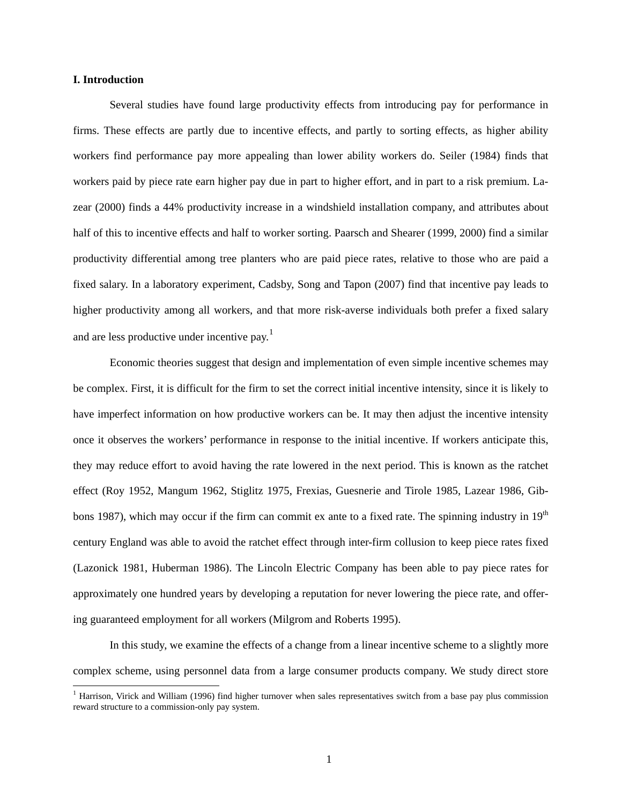## **I. Introduction**

Several studies have found large productivity effects from introducing pay for performance in firms. These effects are partly due to incentive effects, and partly to sorting effects, as higher ability workers find performance pay more appealing than lower ability workers do. Seiler (1984) finds that workers paid by piece rate earn higher pay due in part to higher effort, and in part to a risk premium. Lazear (2000) finds a 44% productivity increase in a windshield installation company, and attributes about half of this to incentive effects and half to worker sorting. Paarsch and Shearer (1999, 2000) find a similar productivity differential among tree planters who are paid piece rates, relative to those who are paid a fixed salary. In a laboratory experiment, Cadsby, Song and Tapon (2007) find that incentive pay leads to higher productivity among all workers, and that more risk-averse individuals both prefer a fixed salary and are less productive under incentive pay.<sup>[1](#page-1-0)</sup>

Economic theories suggest that design and implementation of even simple incentive schemes may be complex. First, it is difficult for the firm to set the correct initial incentive intensity, since it is likely to have imperfect information on how productive workers can be. It may then adjust the incentive intensity once it observes the workers' performance in response to the initial incentive. If workers anticipate this, they may reduce effort to avoid having the rate lowered in the next period. This is known as the ratchet effect (Roy 1952, Mangum 1962, Stiglitz 1975, Frexias, Guesnerie and Tirole 1985, Lazear 1986, Gibbons 1987), which may occur if the firm can commit ex ante to a fixed rate. The spinning industry in  $19<sup>th</sup>$ century England was able to avoid the ratchet effect through inter-firm collusion to keep piece rates fixed (Lazonick 1981, Huberman 1986). The Lincoln Electric Company has been able to pay piece rates for approximately one hundred years by developing a reputation for never lowering the piece rate, and offering guaranteed employment for all workers (Milgrom and Roberts 1995).

In this study, we examine the effects of a change from a linear incentive scheme to a slightly more complex scheme, using personnel data from a large consumer products company. We study direct store

<span id="page-1-0"></span><sup>&</sup>lt;sup>1</sup> Harrison, Virick and William (1996) find higher turnover when sales representatives switch from a base pay plus commission reward structure to a commission-only pay system.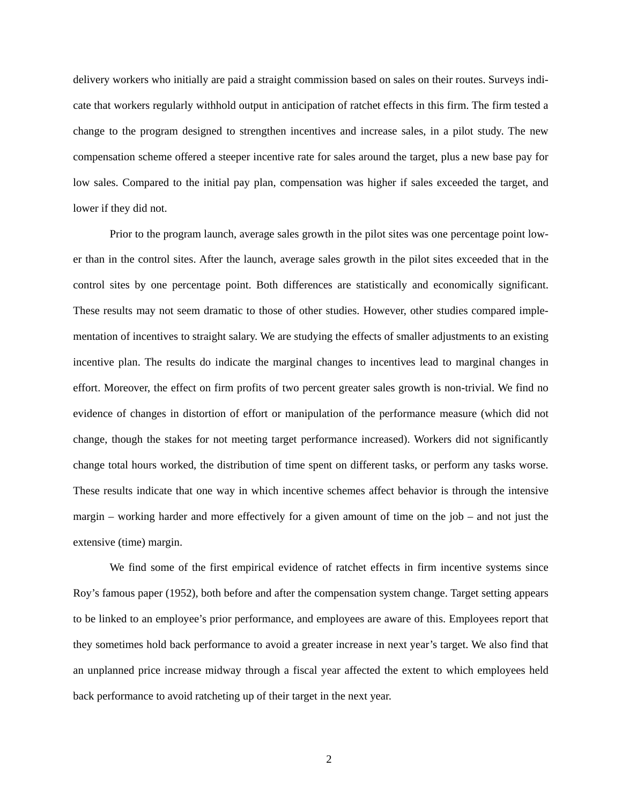delivery workers who initially are paid a straight commission based on sales on their routes. Surveys indicate that workers regularly withhold output in anticipation of ratchet effects in this firm. The firm tested a change to the program designed to strengthen incentives and increase sales, in a pilot study. The new compensation scheme offered a steeper incentive rate for sales around the target, plus a new base pay for low sales. Compared to the initial pay plan, compensation was higher if sales exceeded the target, and lower if they did not.

Prior to the program launch, average sales growth in the pilot sites was one percentage point lower than in the control sites. After the launch, average sales growth in the pilot sites exceeded that in the control sites by one percentage point. Both differences are statistically and economically significant. These results may not seem dramatic to those of other studies. However, other studies compared implementation of incentives to straight salary. We are studying the effects of smaller adjustments to an existing incentive plan. The results do indicate the marginal changes to incentives lead to marginal changes in effort. Moreover, the effect on firm profits of two percent greater sales growth is non-trivial. We find no evidence of changes in distortion of effort or manipulation of the performance measure (which did not change, though the stakes for not meeting target performance increased). Workers did not significantly change total hours worked, the distribution of time spent on different tasks, or perform any tasks worse. These results indicate that one way in which incentive schemes affect behavior is through the intensive margin – working harder and more effectively for a given amount of time on the job – and not just the extensive (time) margin.

We find some of the first empirical evidence of ratchet effects in firm incentive systems since Roy's famous paper (1952), both before and after the compensation system change. Target setting appears to be linked to an employee's prior performance, and employees are aware of this. Employees report that they sometimes hold back performance to avoid a greater increase in next year's target. We also find that an unplanned price increase midway through a fiscal year affected the extent to which employees held back performance to avoid ratcheting up of their target in the next year.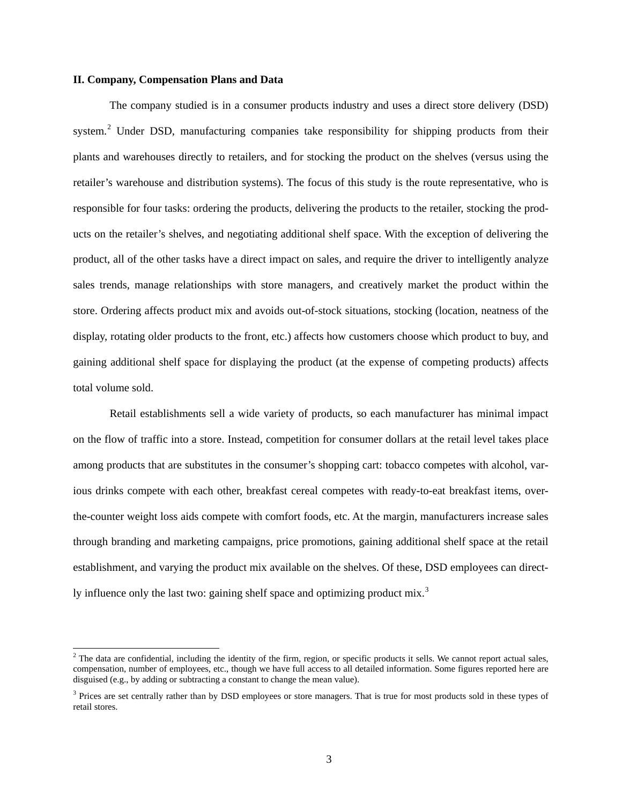## **II. Company, Compensation Plans and Data**

The company studied is in a consumer products industry and uses a direct store delivery (DSD) system.<sup>[2](#page-3-0)</sup> Under DSD, manufacturing companies take responsibility for shipping products from their plants and warehouses directly to retailers, and for stocking the product on the shelves (versus using the retailer's warehouse and distribution systems). The focus of this study is the route representative, who is responsible for four tasks: ordering the products, delivering the products to the retailer, stocking the products on the retailer's shelves, and negotiating additional shelf space. With the exception of delivering the product, all of the other tasks have a direct impact on sales, and require the driver to intelligently analyze sales trends, manage relationships with store managers, and creatively market the product within the store. Ordering affects product mix and avoids out-of-stock situations, stocking (location, neatness of the display, rotating older products to the front, etc.) affects how customers choose which product to buy, and gaining additional shelf space for displaying the product (at the expense of competing products) affects total volume sold.

Retail establishments sell a wide variety of products, so each manufacturer has minimal impact on the flow of traffic into a store. Instead, competition for consumer dollars at the retail level takes place among products that are substitutes in the consumer's shopping cart: tobacco competes with alcohol, various drinks compete with each other, breakfast cereal competes with ready-to-eat breakfast items, overthe-counter weight loss aids compete with comfort foods, etc. At the margin, manufacturers increase sales through branding and marketing campaigns, price promotions, gaining additional shelf space at the retail establishment, and varying the product mix available on the shelves. Of these, DSD employees can direct-ly influence only the last two: gaining shelf space and optimizing product mix.<sup>[3](#page-3-1)</sup>

<span id="page-3-0"></span> $2$  The data are confidential, including the identity of the firm, region, or specific products it sells. We cannot report actual sales, compensation, number of employees, etc., though we have full access to all detailed information. Some figures reported here are disguised (e.g., by adding or subtracting a constant to change the mean value).

<span id="page-3-1"></span><sup>&</sup>lt;sup>3</sup> Prices are set centrally rather than by DSD employees or store managers. That is true for most products sold in these types of retail stores.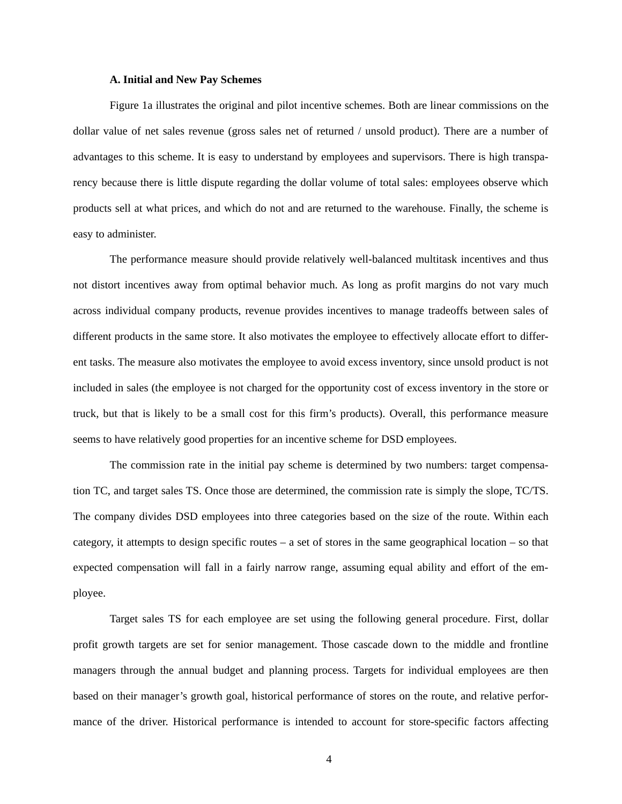## **A. Initial and New Pay Schemes**

Figure 1a illustrates the original and pilot incentive schemes. Both are linear commissions on the dollar value of net sales revenue (gross sales net of returned / unsold product). There are a number of advantages to this scheme. It is easy to understand by employees and supervisors. There is high transparency because there is little dispute regarding the dollar volume of total sales: employees observe which products sell at what prices, and which do not and are returned to the warehouse. Finally, the scheme is easy to administer.

The performance measure should provide relatively well-balanced multitask incentives and thus not distort incentives away from optimal behavior much. As long as profit margins do not vary much across individual company products, revenue provides incentives to manage tradeoffs between sales of different products in the same store. It also motivates the employee to effectively allocate effort to different tasks. The measure also motivates the employee to avoid excess inventory, since unsold product is not included in sales (the employee is not charged for the opportunity cost of excess inventory in the store or truck, but that is likely to be a small cost for this firm's products). Overall, this performance measure seems to have relatively good properties for an incentive scheme for DSD employees.

The commission rate in the initial pay scheme is determined by two numbers: target compensation TC, and target sales TS. Once those are determined, the commission rate is simply the slope, TC/TS. The company divides DSD employees into three categories based on the size of the route. Within each category, it attempts to design specific routes – a set of stores in the same geographical location – so that expected compensation will fall in a fairly narrow range, assuming equal ability and effort of the employee.

Target sales TS for each employee are set using the following general procedure. First, dollar profit growth targets are set for senior management. Those cascade down to the middle and frontline managers through the annual budget and planning process. Targets for individual employees are then based on their manager's growth goal, historical performance of stores on the route, and relative performance of the driver. Historical performance is intended to account for store-specific factors affecting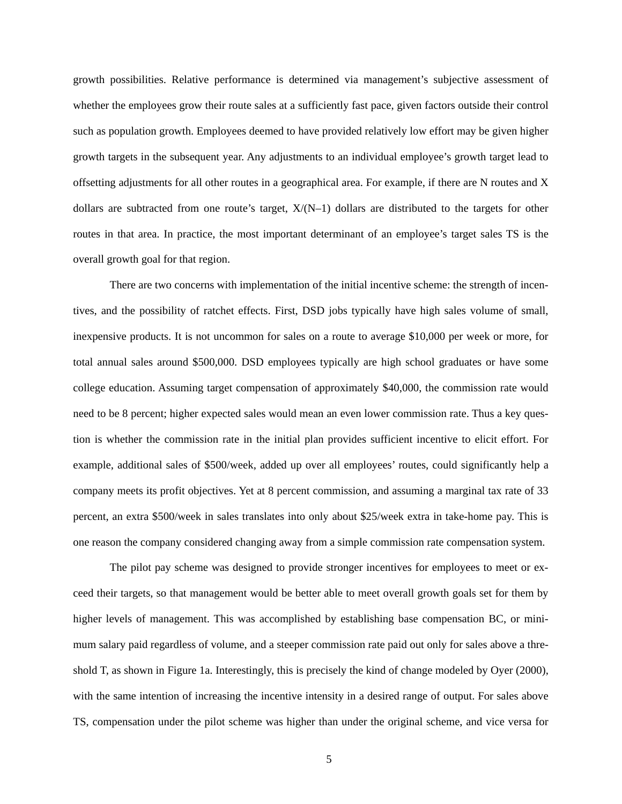growth possibilities. Relative performance is determined via management's subjective assessment of whether the employees grow their route sales at a sufficiently fast pace, given factors outside their control such as population growth. Employees deemed to have provided relatively low effort may be given higher growth targets in the subsequent year. Any adjustments to an individual employee's growth target lead to offsetting adjustments for all other routes in a geographical area. For example, if there are N routes and X dollars are subtracted from one route's target,  $X/(N-1)$  dollars are distributed to the targets for other routes in that area. In practice, the most important determinant of an employee's target sales TS is the overall growth goal for that region.

There are two concerns with implementation of the initial incentive scheme: the strength of incentives, and the possibility of ratchet effects. First, DSD jobs typically have high sales volume of small, inexpensive products. It is not uncommon for sales on a route to average \$10,000 per week or more, for total annual sales around \$500,000. DSD employees typically are high school graduates or have some college education. Assuming target compensation of approximately \$40,000, the commission rate would need to be 8 percent; higher expected sales would mean an even lower commission rate. Thus a key question is whether the commission rate in the initial plan provides sufficient incentive to elicit effort. For example, additional sales of \$500/week, added up over all employees' routes, could significantly help a company meets its profit objectives. Yet at 8 percent commission, and assuming a marginal tax rate of 33 percent, an extra \$500/week in sales translates into only about \$25/week extra in take-home pay. This is one reason the company considered changing away from a simple commission rate compensation system.

The pilot pay scheme was designed to provide stronger incentives for employees to meet or exceed their targets, so that management would be better able to meet overall growth goals set for them by higher levels of management. This was accomplished by establishing base compensation BC, or minimum salary paid regardless of volume, and a steeper commission rate paid out only for sales above a threshold T, as shown in Figure 1a. Interestingly, this is precisely the kind of change modeled by Oyer (2000), with the same intention of increasing the incentive intensity in a desired range of output. For sales above TS, compensation under the pilot scheme was higher than under the original scheme, and vice versa for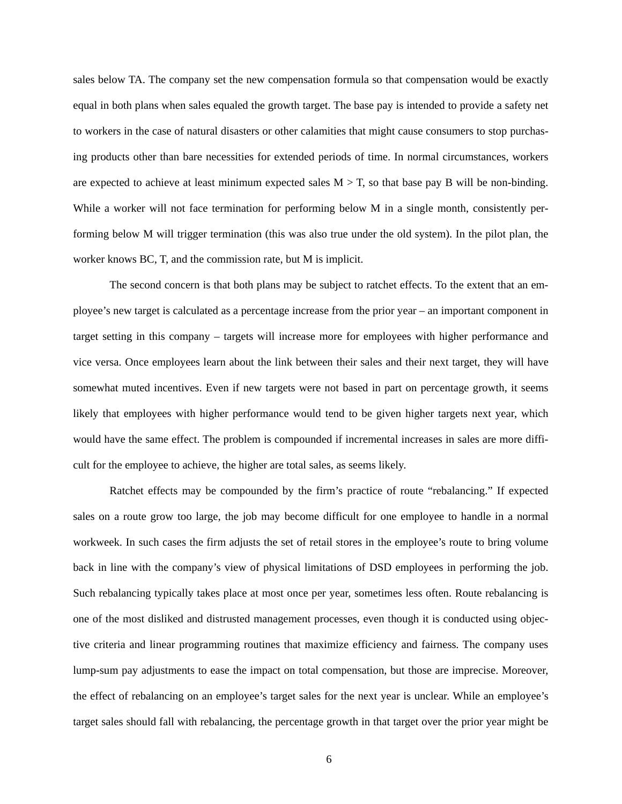sales below TA. The company set the new compensation formula so that compensation would be exactly equal in both plans when sales equaled the growth target. The base pay is intended to provide a safety net to workers in the case of natural disasters or other calamities that might cause consumers to stop purchasing products other than bare necessities for extended periods of time. In normal circumstances, workers are expected to achieve at least minimum expected sales  $M > T$ , so that base pay B will be non-binding. While a worker will not face termination for performing below M in a single month, consistently performing below M will trigger termination (this was also true under the old system). In the pilot plan, the worker knows BC, T, and the commission rate, but M is implicit.

The second concern is that both plans may be subject to ratchet effects. To the extent that an employee's new target is calculated as a percentage increase from the prior year – an important component in target setting in this company – targets will increase more for employees with higher performance and vice versa. Once employees learn about the link between their sales and their next target, they will have somewhat muted incentives. Even if new targets were not based in part on percentage growth, it seems likely that employees with higher performance would tend to be given higher targets next year, which would have the same effect. The problem is compounded if incremental increases in sales are more difficult for the employee to achieve, the higher are total sales, as seems likely.

Ratchet effects may be compounded by the firm's practice of route "rebalancing." If expected sales on a route grow too large, the job may become difficult for one employee to handle in a normal workweek. In such cases the firm adjusts the set of retail stores in the employee's route to bring volume back in line with the company's view of physical limitations of DSD employees in performing the job. Such rebalancing typically takes place at most once per year, sometimes less often. Route rebalancing is one of the most disliked and distrusted management processes, even though it is conducted using objective criteria and linear programming routines that maximize efficiency and fairness. The company uses lump-sum pay adjustments to ease the impact on total compensation, but those are imprecise. Moreover, the effect of rebalancing on an employee's target sales for the next year is unclear. While an employee's target sales should fall with rebalancing, the percentage growth in that target over the prior year might be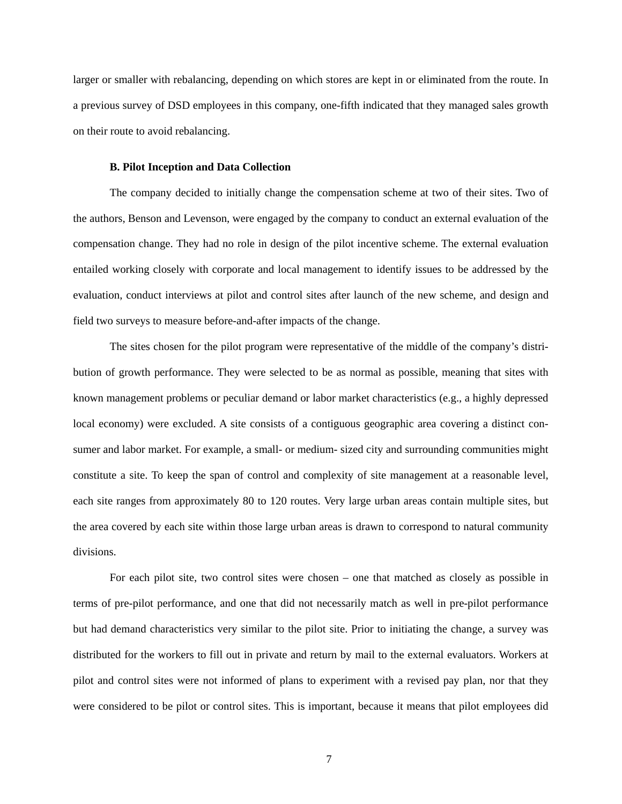larger or smaller with rebalancing, depending on which stores are kept in or eliminated from the route. In a previous survey of DSD employees in this company, one-fifth indicated that they managed sales growth on their route to avoid rebalancing.

## **B. Pilot Inception and Data Collection**

The company decided to initially change the compensation scheme at two of their sites. Two of the authors, Benson and Levenson, were engaged by the company to conduct an external evaluation of the compensation change. They had no role in design of the pilot incentive scheme. The external evaluation entailed working closely with corporate and local management to identify issues to be addressed by the evaluation, conduct interviews at pilot and control sites after launch of the new scheme, and design and field two surveys to measure before-and-after impacts of the change.

The sites chosen for the pilot program were representative of the middle of the company's distribution of growth performance. They were selected to be as normal as possible, meaning that sites with known management problems or peculiar demand or labor market characteristics (e.g., a highly depressed local economy) were excluded. A site consists of a contiguous geographic area covering a distinct consumer and labor market. For example, a small- or medium- sized city and surrounding communities might constitute a site. To keep the span of control and complexity of site management at a reasonable level, each site ranges from approximately 80 to 120 routes. Very large urban areas contain multiple sites, but the area covered by each site within those large urban areas is drawn to correspond to natural community divisions.

For each pilot site, two control sites were chosen – one that matched as closely as possible in terms of pre-pilot performance, and one that did not necessarily match as well in pre-pilot performance but had demand characteristics very similar to the pilot site. Prior to initiating the change, a survey was distributed for the workers to fill out in private and return by mail to the external evaluators. Workers at pilot and control sites were not informed of plans to experiment with a revised pay plan, nor that they were considered to be pilot or control sites. This is important, because it means that pilot employees did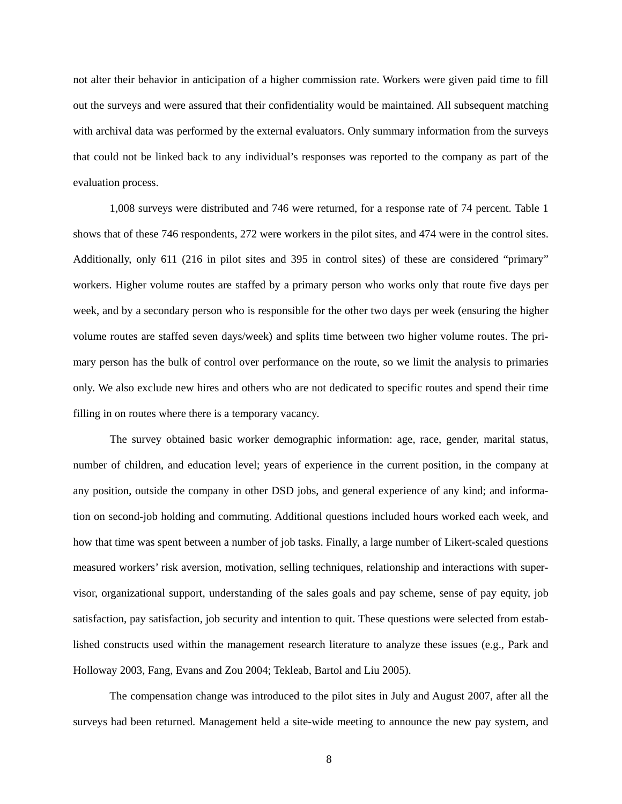not alter their behavior in anticipation of a higher commission rate. Workers were given paid time to fill out the surveys and were assured that their confidentiality would be maintained. All subsequent matching with archival data was performed by the external evaluators. Only summary information from the surveys that could not be linked back to any individual's responses was reported to the company as part of the evaluation process.

1,008 surveys were distributed and 746 were returned, for a response rate of 74 percent. Table 1 shows that of these 746 respondents, 272 were workers in the pilot sites, and 474 were in the control sites. Additionally, only 611 (216 in pilot sites and 395 in control sites) of these are considered "primary" workers. Higher volume routes are staffed by a primary person who works only that route five days per week, and by a secondary person who is responsible for the other two days per week (ensuring the higher volume routes are staffed seven days/week) and splits time between two higher volume routes. The primary person has the bulk of control over performance on the route, so we limit the analysis to primaries only. We also exclude new hires and others who are not dedicated to specific routes and spend their time filling in on routes where there is a temporary vacancy.

The survey obtained basic worker demographic information: age, race, gender, marital status, number of children, and education level; years of experience in the current position, in the company at any position, outside the company in other DSD jobs, and general experience of any kind; and information on second-job holding and commuting. Additional questions included hours worked each week, and how that time was spent between a number of job tasks. Finally, a large number of Likert-scaled questions measured workers' risk aversion, motivation, selling techniques, relationship and interactions with supervisor, organizational support, understanding of the sales goals and pay scheme, sense of pay equity, job satisfaction, pay satisfaction, job security and intention to quit. These questions were selected from established constructs used within the management research literature to analyze these issues (e.g., Park and Holloway 2003, Fang, Evans and Zou 2004; Tekleab, Bartol and Liu 2005).

The compensation change was introduced to the pilot sites in July and August 2007, after all the surveys had been returned. Management held a site-wide meeting to announce the new pay system, and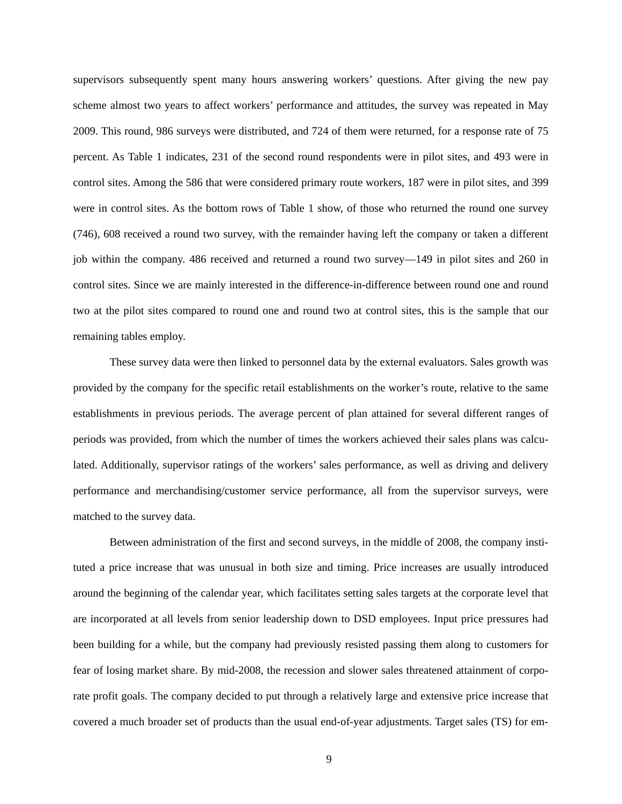supervisors subsequently spent many hours answering workers' questions. After giving the new pay scheme almost two years to affect workers' performance and attitudes, the survey was repeated in May 2009. This round, 986 surveys were distributed, and 724 of them were returned, for a response rate of 75 percent. As Table 1 indicates, 231 of the second round respondents were in pilot sites, and 493 were in control sites. Among the 586 that were considered primary route workers, 187 were in pilot sites, and 399 were in control sites. As the bottom rows of Table 1 show, of those who returned the round one survey (746), 608 received a round two survey, with the remainder having left the company or taken a different job within the company. 486 received and returned a round two survey—149 in pilot sites and 260 in control sites. Since we are mainly interested in the difference-in-difference between round one and round two at the pilot sites compared to round one and round two at control sites, this is the sample that our remaining tables employ.

These survey data were then linked to personnel data by the external evaluators. Sales growth was provided by the company for the specific retail establishments on the worker's route, relative to the same establishments in previous periods. The average percent of plan attained for several different ranges of periods was provided, from which the number of times the workers achieved their sales plans was calculated. Additionally, supervisor ratings of the workers' sales performance, as well as driving and delivery performance and merchandising/customer service performance, all from the supervisor surveys, were matched to the survey data.

Between administration of the first and second surveys, in the middle of 2008, the company instituted a price increase that was unusual in both size and timing. Price increases are usually introduced around the beginning of the calendar year, which facilitates setting sales targets at the corporate level that are incorporated at all levels from senior leadership down to DSD employees. Input price pressures had been building for a while, but the company had previously resisted passing them along to customers for fear of losing market share. By mid-2008, the recession and slower sales threatened attainment of corporate profit goals. The company decided to put through a relatively large and extensive price increase that covered a much broader set of products than the usual end-of-year adjustments. Target sales (TS) for em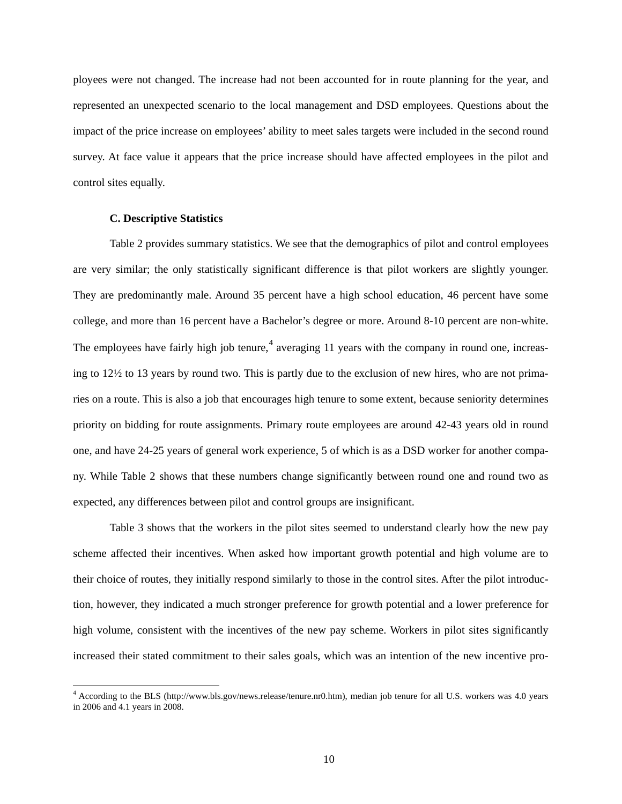ployees were not changed. The increase had not been accounted for in route planning for the year, and represented an unexpected scenario to the local management and DSD employees. Questions about the impact of the price increase on employees' ability to meet sales targets were included in the second round survey. At face value it appears that the price increase should have affected employees in the pilot and control sites equally.

## **C. Descriptive Statistics**

Table 2 provides summary statistics. We see that the demographics of pilot and control employees are very similar; the only statistically significant difference is that pilot workers are slightly younger. They are predominantly male. Around 35 percent have a high school education, 46 percent have some college, and more than 16 percent have a Bachelor's degree or more. Around 8-10 percent are non-white. The employees have fairly high job tenure,<sup>[4](#page-10-0)</sup> averaging 11 years with the company in round one, increasing to 12½ to 13 years by round two. This is partly due to the exclusion of new hires, who are not primaries on a route. This is also a job that encourages high tenure to some extent, because seniority determines priority on bidding for route assignments. Primary route employees are around 42-43 years old in round one, and have 24-25 years of general work experience, 5 of which is as a DSD worker for another company. While Table 2 shows that these numbers change significantly between round one and round two as expected, any differences between pilot and control groups are insignificant.

Table 3 shows that the workers in the pilot sites seemed to understand clearly how the new pay scheme affected their incentives. When asked how important growth potential and high volume are to their choice of routes, they initially respond similarly to those in the control sites. After the pilot introduction, however, they indicated a much stronger preference for growth potential and a lower preference for high volume, consistent with the incentives of the new pay scheme. Workers in pilot sites significantly increased their stated commitment to their sales goals, which was an intention of the new incentive pro-

<span id="page-10-0"></span><sup>&</sup>lt;sup>4</sup> According to the BLS (http://www.bls.gov/news.release/tenure.nr0.htm), median job tenure for all U.S. workers was 4.0 years in 2006 and 4.1 years in 2008.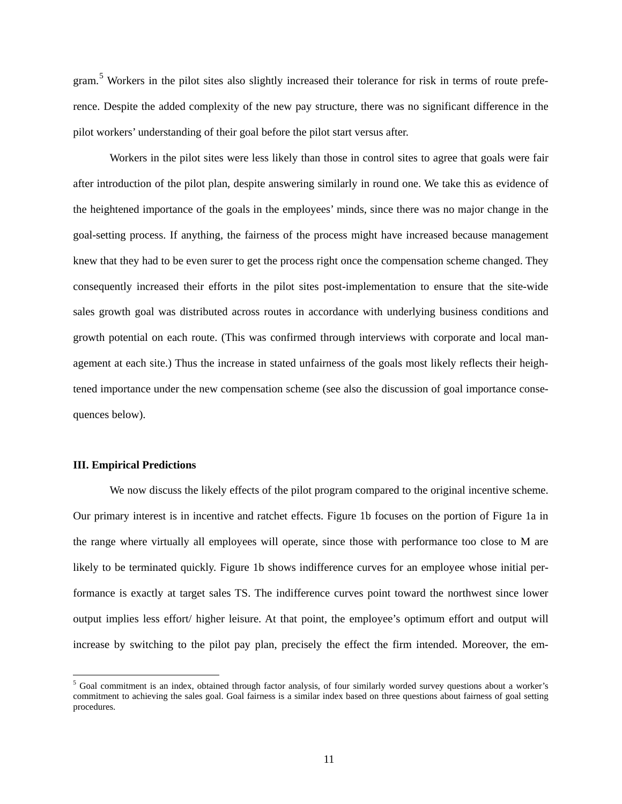gram.<sup>[5](#page-11-0)</sup> Workers in the pilot sites also slightly increased their tolerance for risk in terms of route preference. Despite the added complexity of the new pay structure, there was no significant difference in the pilot workers' understanding of their goal before the pilot start versus after.

Workers in the pilot sites were less likely than those in control sites to agree that goals were fair after introduction of the pilot plan, despite answering similarly in round one. We take this as evidence of the heightened importance of the goals in the employees' minds, since there was no major change in the goal-setting process. If anything, the fairness of the process might have increased because management knew that they had to be even surer to get the process right once the compensation scheme changed. They consequently increased their efforts in the pilot sites post-implementation to ensure that the site-wide sales growth goal was distributed across routes in accordance with underlying business conditions and growth potential on each route. (This was confirmed through interviews with corporate and local management at each site.) Thus the increase in stated unfairness of the goals most likely reflects their heightened importance under the new compensation scheme (see also the discussion of goal importance consequences below).

## **III. Empirical Predictions**

We now discuss the likely effects of the pilot program compared to the original incentive scheme. Our primary interest is in incentive and ratchet effects. Figure 1b focuses on the portion of Figure 1a in the range where virtually all employees will operate, since those with performance too close to M are likely to be terminated quickly. Figure 1b shows indifference curves for an employee whose initial performance is exactly at target sales TS. The indifference curves point toward the northwest since lower output implies less effort/ higher leisure. At that point, the employee's optimum effort and output will increase by switching to the pilot pay plan, precisely the effect the firm intended. Moreover, the em-

<span id="page-11-0"></span> $<sup>5</sup>$  Goal commitment is an index, obtained through factor analysis, of four similarly worded survey questions about a worker's</sup> commitment to achieving the sales goal. Goal fairness is a similar index based on three questions about fairness of goal setting procedures.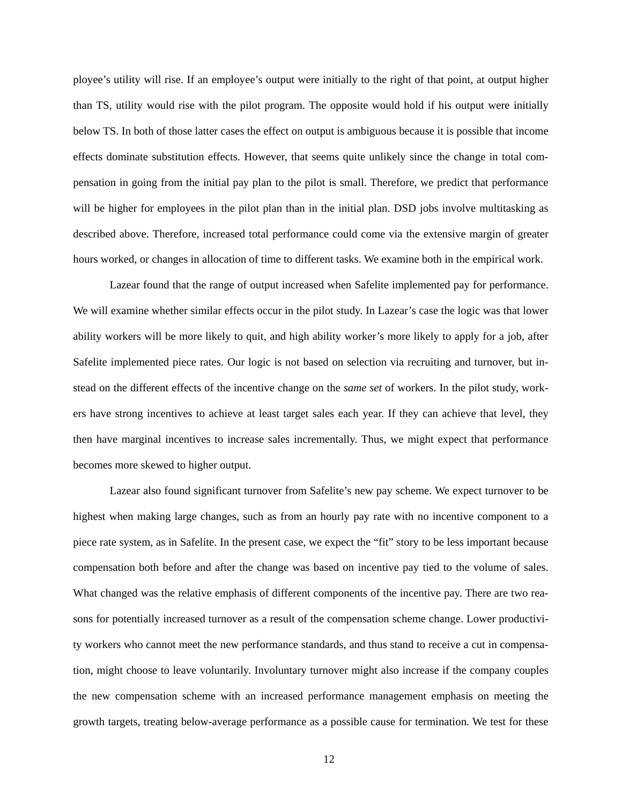ployee's utility will rise. If an employee's output were initially to the right of that point, at output higher than TS, utility would rise with the pilot program. The opposite would hold if his output were initially below TS. In both of those latter cases the effect on output is ambiguous because it is possible that income effects dominate substitution effects. However, that seems quite unlikely since the change in total compensation in going from the initial pay plan to the pilot is small. Therefore, we predict that performance will be higher for employees in the pilot plan than in the initial plan. DSD jobs involve multitasking as described above. Therefore, increased total performance could come via the extensive margin of greater hours worked, or changes in allocation of time to different tasks. We examine both in the empirical work.

Lazear found that the range of output increased when Safelite implemented pay for performance. We will examine whether similar effects occur in the pilot study. In Lazear's case the logic was that lower ability workers will be more likely to quit, and high ability worker's more likely to apply for a job, after Safelite implemented piece rates. Our logic is not based on selection via recruiting and turnover, but instead on the different effects of the incentive change on the *same set* of workers. In the pilot study, workers have strong incentives to achieve at least target sales each year. If they can achieve that level, they then have marginal incentives to increase sales incrementally. Thus, we might expect that performance becomes more skewed to higher output.

Lazear also found significant turnover from Safelite's new pay scheme. We expect turnover to be highest when making large changes, such as from an hourly pay rate with no incentive component to a piece rate system, as in Safelite. In the present case, we expect the "fit" story to be less important because compensation both before and after the change was based on incentive pay tied to the volume of sales. What changed was the relative emphasis of different components of the incentive pay. There are two reasons for potentially increased turnover as a result of the compensation scheme change. Lower productivity workers who cannot meet the new performance standards, and thus stand to receive a cut in compensation, might choose to leave voluntarily. Involuntary turnover might also increase if the company couples the new compensation scheme with an increased performance management emphasis on meeting the growth targets, treating below-average performance as a possible cause for termination. We test for these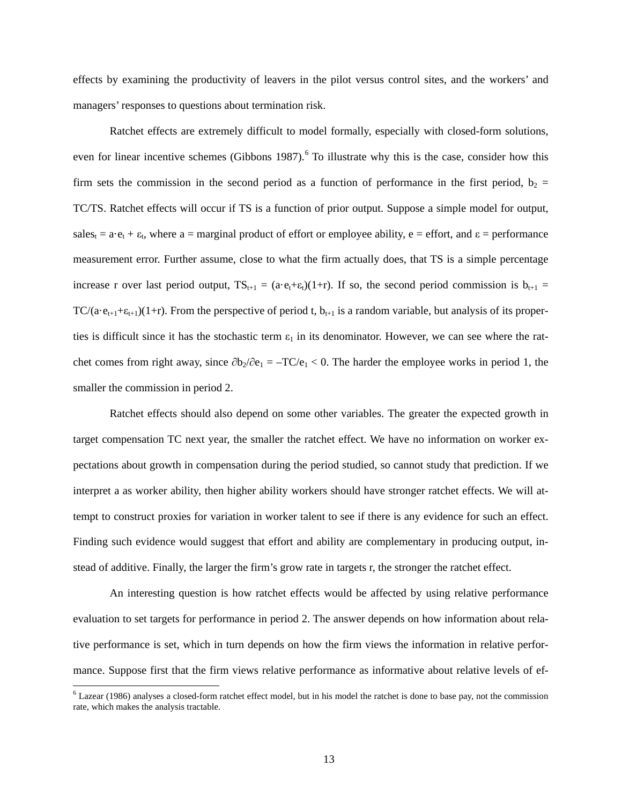effects by examining the productivity of leavers in the pilot versus control sites, and the workers' and managers' responses to questions about termination risk.

Ratchet effects are extremely difficult to model formally, especially with closed-form solutions, even for linear incentive schemes (Gibbons 1987).<sup>[6](#page-13-0)</sup> To illustrate why this is the case, consider how this firm sets the commission in the second period as a function of performance in the first period,  $b_2$  = TC/TS. Ratchet effects will occur if TS is a function of prior output. Suppose a simple model for output, sales<sub>t</sub> =  $a \cdot e_t + \varepsilon_t$ , where  $a$  = marginal product of effort or employee ability,  $e$  = effort, and  $\varepsilon$  = performance measurement error. Further assume, close to what the firm actually does, that TS is a simple percentage increase r over last period output,  $TS_{t+1} = (a \cdot e_t + \varepsilon_t)(1+r)$ . If so, the second period commission is  $b_{t+1} =$ TC/(a·e<sub>t+1</sub>+ε<sub>t+1</sub>)(1+r). From the perspective of period t,  $b_{t+1}$  is a random variable, but analysis of its properties is difficult since it has the stochastic term  $\varepsilon_1$  in its denominator. However, we can see where the ratchet comes from right away, since  $\partial b_2/\partial e_1 = -TC/e_1 < 0$ . The harder the employee works in period 1, the smaller the commission in period 2.

Ratchet effects should also depend on some other variables. The greater the expected growth in target compensation TC next year, the smaller the ratchet effect. We have no information on worker expectations about growth in compensation during the period studied, so cannot study that prediction. If we interpret a as worker ability, then higher ability workers should have stronger ratchet effects. We will attempt to construct proxies for variation in worker talent to see if there is any evidence for such an effect. Finding such evidence would suggest that effort and ability are complementary in producing output, instead of additive. Finally, the larger the firm's grow rate in targets r, the stronger the ratchet effect.

An interesting question is how ratchet effects would be affected by using relative performance evaluation to set targets for performance in period 2. The answer depends on how information about relative performance is set, which in turn depends on how the firm views the information in relative performance. Suppose first that the firm views relative performance as informative about relative levels of ef-

<span id="page-13-0"></span> <sup>6</sup> Lazear (1986) analyses a closed-form ratchet effect model, but in his model the ratchet is done to base pay, not the commission rate, which makes the analysis tractable.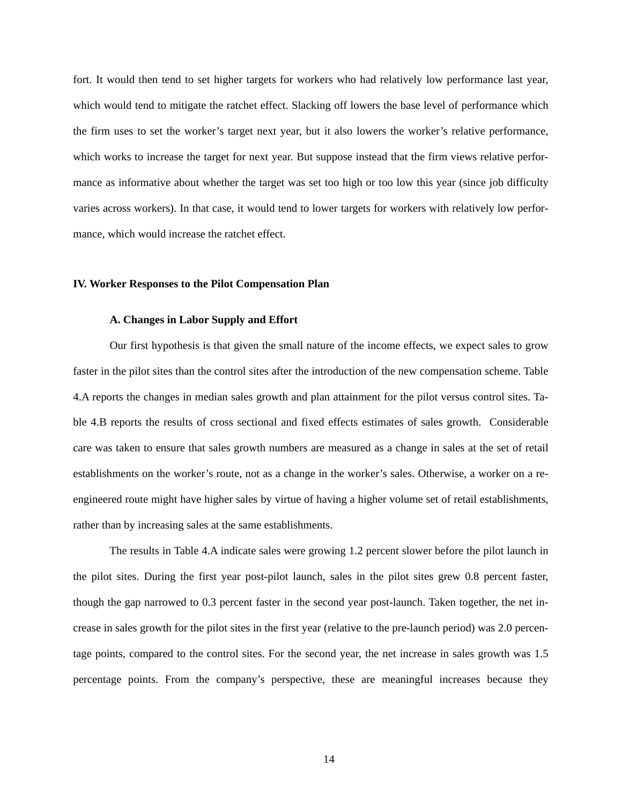fort. It would then tend to set higher targets for workers who had relatively low performance last year, which would tend to mitigate the ratchet effect. Slacking off lowers the base level of performance which the firm uses to set the worker's target next year, but it also lowers the worker's relative performance, which works to increase the target for next year. But suppose instead that the firm views relative performance as informative about whether the target was set too high or too low this year (since job difficulty varies across workers). In that case, it would tend to lower targets for workers with relatively low performance, which would increase the ratchet effect.

## **IV. Worker Responses to the Pilot Compensation Plan**

## **A. Changes in Labor Supply and Effort**

Our first hypothesis is that given the small nature of the income effects, we expect sales to grow faster in the pilot sites than the control sites after the introduction of the new compensation scheme. Table 4.A reports the changes in median sales growth and plan attainment for the pilot versus control sites. Table 4.B reports the results of cross sectional and fixed effects estimates of sales growth. Considerable care was taken to ensure that sales growth numbers are measured as a change in sales at the set of retail establishments on the worker's route, not as a change in the worker's sales. Otherwise, a worker on a reengineered route might have higher sales by virtue of having a higher volume set of retail establishments, rather than by increasing sales at the same establishments.

The results in Table 4.A indicate sales were growing 1.2 percent slower before the pilot launch in the pilot sites. During the first year post-pilot launch, sales in the pilot sites grew 0.8 percent faster, though the gap narrowed to 0.3 percent faster in the second year post-launch. Taken together, the net increase in sales growth for the pilot sites in the first year (relative to the pre-launch period) was 2.0 percentage points, compared to the control sites. For the second year, the net increase in sales growth was 1.5 percentage points. From the company's perspective, these are meaningful increases because they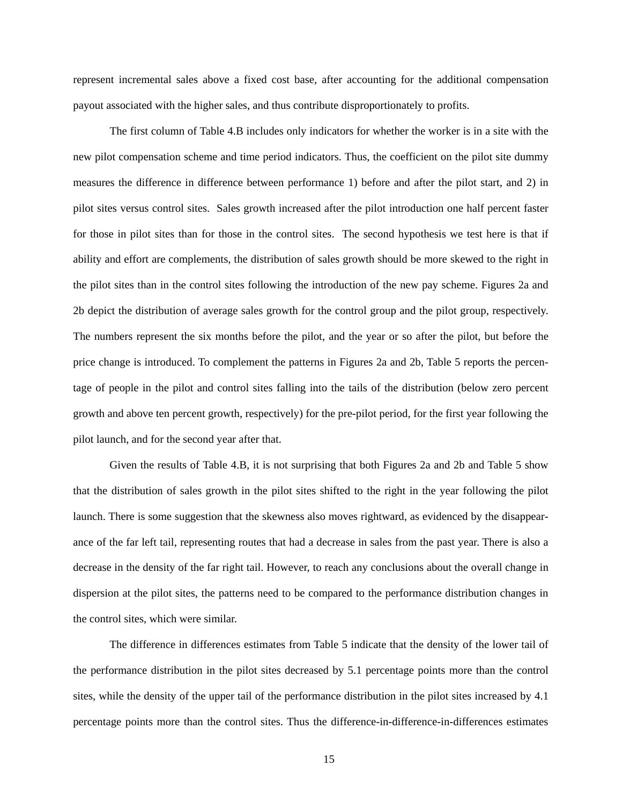represent incremental sales above a fixed cost base, after accounting for the additional compensation payout associated with the higher sales, and thus contribute disproportionately to profits.

The first column of Table 4.B includes only indicators for whether the worker is in a site with the new pilot compensation scheme and time period indicators. Thus, the coefficient on the pilot site dummy measures the difference in difference between performance 1) before and after the pilot start, and 2) in pilot sites versus control sites. Sales growth increased after the pilot introduction one half percent faster for those in pilot sites than for those in the control sites. The second hypothesis we test here is that if ability and effort are complements, the distribution of sales growth should be more skewed to the right in the pilot sites than in the control sites following the introduction of the new pay scheme. Figures 2a and 2b depict the distribution of average sales growth for the control group and the pilot group, respectively. The numbers represent the six months before the pilot, and the year or so after the pilot, but before the price change is introduced. To complement the patterns in Figures 2a and 2b, Table 5 reports the percentage of people in the pilot and control sites falling into the tails of the distribution (below zero percent growth and above ten percent growth, respectively) for the pre-pilot period, for the first year following the pilot launch, and for the second year after that.

Given the results of Table 4.B, it is not surprising that both Figures 2a and 2b and Table 5 show that the distribution of sales growth in the pilot sites shifted to the right in the year following the pilot launch. There is some suggestion that the skewness also moves rightward, as evidenced by the disappearance of the far left tail, representing routes that had a decrease in sales from the past year. There is also a decrease in the density of the far right tail. However, to reach any conclusions about the overall change in dispersion at the pilot sites, the patterns need to be compared to the performance distribution changes in the control sites, which were similar.

The difference in differences estimates from Table 5 indicate that the density of the lower tail of the performance distribution in the pilot sites decreased by 5.1 percentage points more than the control sites, while the density of the upper tail of the performance distribution in the pilot sites increased by 4.1 percentage points more than the control sites. Thus the difference-in-difference-in-differences estimates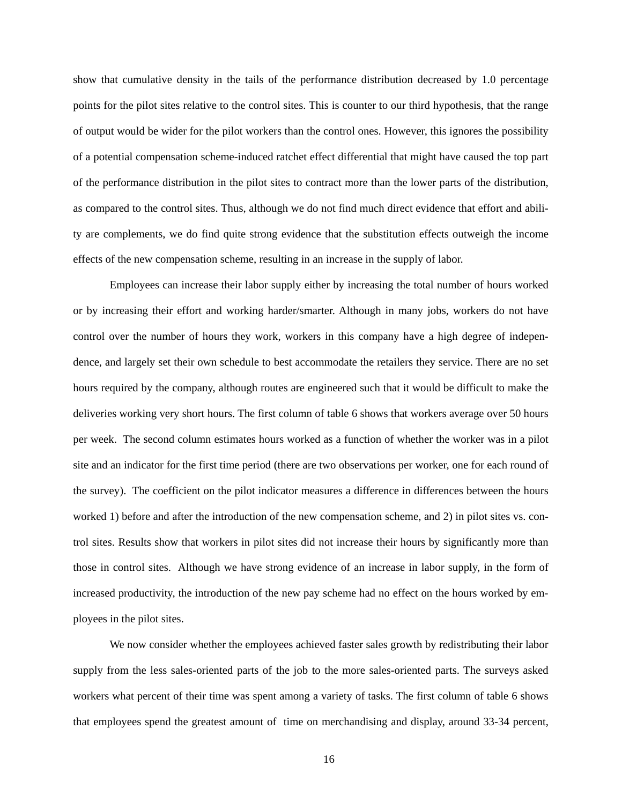show that cumulative density in the tails of the performance distribution decreased by 1.0 percentage points for the pilot sites relative to the control sites. This is counter to our third hypothesis, that the range of output would be wider for the pilot workers than the control ones. However, this ignores the possibility of a potential compensation scheme-induced ratchet effect differential that might have caused the top part of the performance distribution in the pilot sites to contract more than the lower parts of the distribution, as compared to the control sites. Thus, although we do not find much direct evidence that effort and ability are complements, we do find quite strong evidence that the substitution effects outweigh the income effects of the new compensation scheme, resulting in an increase in the supply of labor.

Employees can increase their labor supply either by increasing the total number of hours worked or by increasing their effort and working harder/smarter. Although in many jobs, workers do not have control over the number of hours they work, workers in this company have a high degree of independence, and largely set their own schedule to best accommodate the retailers they service. There are no set hours required by the company, although routes are engineered such that it would be difficult to make the deliveries working very short hours. The first column of table 6 shows that workers average over 50 hours per week. The second column estimates hours worked as a function of whether the worker was in a pilot site and an indicator for the first time period (there are two observations per worker, one for each round of the survey). The coefficient on the pilot indicator measures a difference in differences between the hours worked 1) before and after the introduction of the new compensation scheme, and 2) in pilot sites vs. control sites. Results show that workers in pilot sites did not increase their hours by significantly more than those in control sites. Although we have strong evidence of an increase in labor supply, in the form of increased productivity, the introduction of the new pay scheme had no effect on the hours worked by employees in the pilot sites.

We now consider whether the employees achieved faster sales growth by redistributing their labor supply from the less sales-oriented parts of the job to the more sales-oriented parts. The surveys asked workers what percent of their time was spent among a variety of tasks. The first column of table 6 shows that employees spend the greatest amount of time on merchandising and display, around 33-34 percent,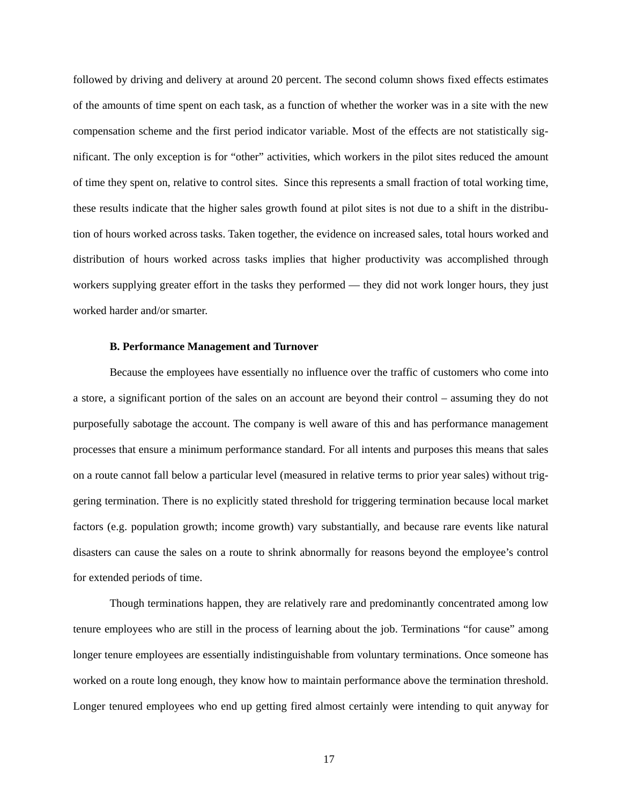followed by driving and delivery at around 20 percent. The second column shows fixed effects estimates of the amounts of time spent on each task, as a function of whether the worker was in a site with the new compensation scheme and the first period indicator variable. Most of the effects are not statistically significant. The only exception is for "other" activities, which workers in the pilot sites reduced the amount of time they spent on, relative to control sites. Since this represents a small fraction of total working time, these results indicate that the higher sales growth found at pilot sites is not due to a shift in the distribution of hours worked across tasks. Taken together, the evidence on increased sales, total hours worked and distribution of hours worked across tasks implies that higher productivity was accomplished through workers supplying greater effort in the tasks they performed — they did not work longer hours, they just worked harder and/or smarter.

## **B. Performance Management and Turnover**

Because the employees have essentially no influence over the traffic of customers who come into a store, a significant portion of the sales on an account are beyond their control – assuming they do not purposefully sabotage the account. The company is well aware of this and has performance management processes that ensure a minimum performance standard. For all intents and purposes this means that sales on a route cannot fall below a particular level (measured in relative terms to prior year sales) without triggering termination. There is no explicitly stated threshold for triggering termination because local market factors (e.g. population growth; income growth) vary substantially, and because rare events like natural disasters can cause the sales on a route to shrink abnormally for reasons beyond the employee's control for extended periods of time.

Though terminations happen, they are relatively rare and predominantly concentrated among low tenure employees who are still in the process of learning about the job. Terminations "for cause" among longer tenure employees are essentially indistinguishable from voluntary terminations. Once someone has worked on a route long enough, they know how to maintain performance above the termination threshold. Longer tenured employees who end up getting fired almost certainly were intending to quit anyway for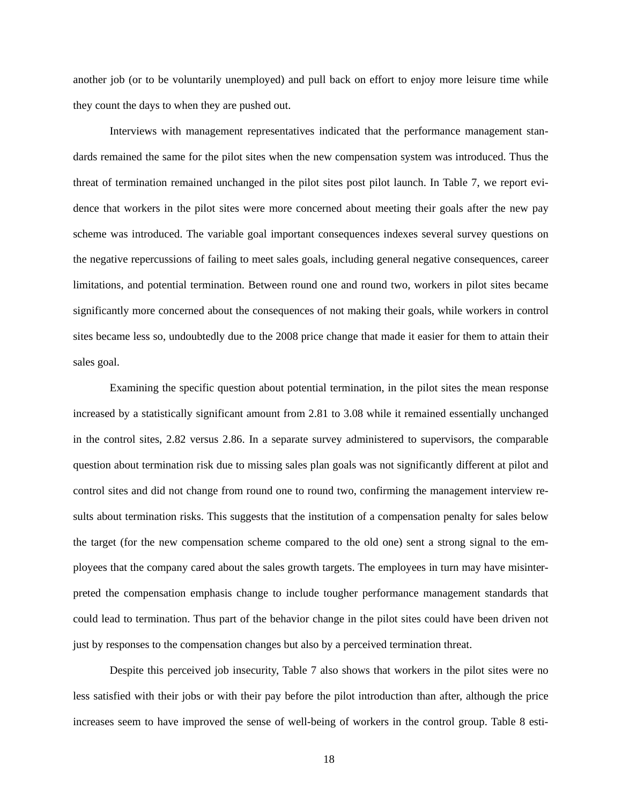another job (or to be voluntarily unemployed) and pull back on effort to enjoy more leisure time while they count the days to when they are pushed out.

Interviews with management representatives indicated that the performance management standards remained the same for the pilot sites when the new compensation system was introduced. Thus the threat of termination remained unchanged in the pilot sites post pilot launch. In Table 7, we report evidence that workers in the pilot sites were more concerned about meeting their goals after the new pay scheme was introduced. The variable goal important consequences indexes several survey questions on the negative repercussions of failing to meet sales goals, including general negative consequences, career limitations, and potential termination. Between round one and round two, workers in pilot sites became significantly more concerned about the consequences of not making their goals, while workers in control sites became less so, undoubtedly due to the 2008 price change that made it easier for them to attain their sales goal.

Examining the specific question about potential termination, in the pilot sites the mean response increased by a statistically significant amount from 2.81 to 3.08 while it remained essentially unchanged in the control sites, 2.82 versus 2.86. In a separate survey administered to supervisors, the comparable question about termination risk due to missing sales plan goals was not significantly different at pilot and control sites and did not change from round one to round two, confirming the management interview results about termination risks. This suggests that the institution of a compensation penalty for sales below the target (for the new compensation scheme compared to the old one) sent a strong signal to the employees that the company cared about the sales growth targets. The employees in turn may have misinterpreted the compensation emphasis change to include tougher performance management standards that could lead to termination. Thus part of the behavior change in the pilot sites could have been driven not just by responses to the compensation changes but also by a perceived termination threat.

Despite this perceived job insecurity, Table 7 also shows that workers in the pilot sites were no less satisfied with their jobs or with their pay before the pilot introduction than after, although the price increases seem to have improved the sense of well-being of workers in the control group. Table 8 esti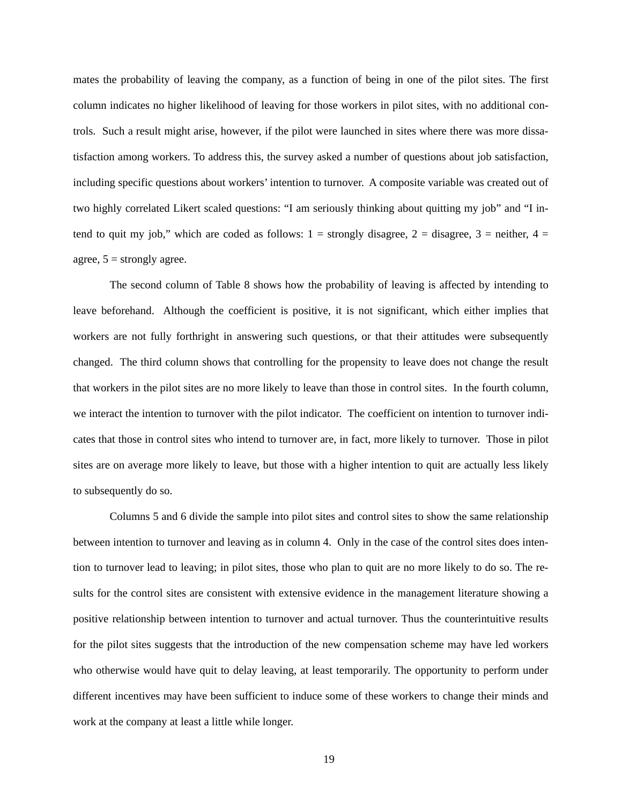mates the probability of leaving the company, as a function of being in one of the pilot sites. The first column indicates no higher likelihood of leaving for those workers in pilot sites, with no additional controls. Such a result might arise, however, if the pilot were launched in sites where there was more dissatisfaction among workers. To address this, the survey asked a number of questions about job satisfaction, including specific questions about workers' intention to turnover. A composite variable was created out of two highly correlated Likert scaled questions: "I am seriously thinking about quitting my job" and "I intend to quit my job," which are coded as follows:  $1 =$  strongly disagree,  $2 =$  disagree,  $3 =$  neither,  $4 =$ agree,  $5 =$  strongly agree.

The second column of Table 8 shows how the probability of leaving is affected by intending to leave beforehand. Although the coefficient is positive, it is not significant, which either implies that workers are not fully forthright in answering such questions, or that their attitudes were subsequently changed. The third column shows that controlling for the propensity to leave does not change the result that workers in the pilot sites are no more likely to leave than those in control sites. In the fourth column, we interact the intention to turnover with the pilot indicator. The coefficient on intention to turnover indicates that those in control sites who intend to turnover are, in fact, more likely to turnover. Those in pilot sites are on average more likely to leave, but those with a higher intention to quit are actually less likely to subsequently do so.

Columns 5 and 6 divide the sample into pilot sites and control sites to show the same relationship between intention to turnover and leaving as in column 4. Only in the case of the control sites does intention to turnover lead to leaving; in pilot sites, those who plan to quit are no more likely to do so. The results for the control sites are consistent with extensive evidence in the management literature showing a positive relationship between intention to turnover and actual turnover. Thus the counterintuitive results for the pilot sites suggests that the introduction of the new compensation scheme may have led workers who otherwise would have quit to delay leaving, at least temporarily. The opportunity to perform under different incentives may have been sufficient to induce some of these workers to change their minds and work at the company at least a little while longer.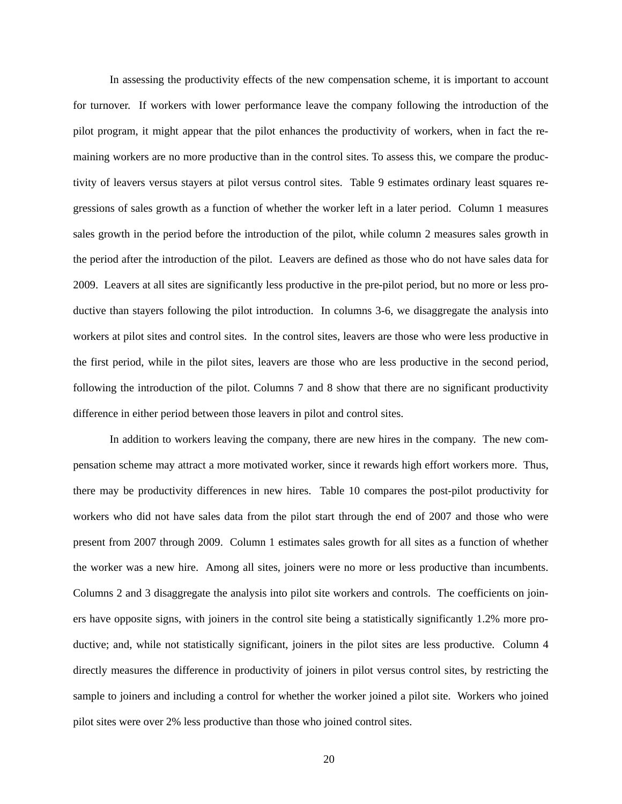In assessing the productivity effects of the new compensation scheme, it is important to account for turnover. If workers with lower performance leave the company following the introduction of the pilot program, it might appear that the pilot enhances the productivity of workers, when in fact the remaining workers are no more productive than in the control sites. To assess this, we compare the productivity of leavers versus stayers at pilot versus control sites. Table 9 estimates ordinary least squares regressions of sales growth as a function of whether the worker left in a later period. Column 1 measures sales growth in the period before the introduction of the pilot, while column 2 measures sales growth in the period after the introduction of the pilot. Leavers are defined as those who do not have sales data for 2009. Leavers at all sites are significantly less productive in the pre-pilot period, but no more or less productive than stayers following the pilot introduction. In columns 3-6, we disaggregate the analysis into workers at pilot sites and control sites. In the control sites, leavers are those who were less productive in the first period, while in the pilot sites, leavers are those who are less productive in the second period, following the introduction of the pilot. Columns 7 and 8 show that there are no significant productivity difference in either period between those leavers in pilot and control sites.

In addition to workers leaving the company, there are new hires in the company. The new compensation scheme may attract a more motivated worker, since it rewards high effort workers more. Thus, there may be productivity differences in new hires. Table 10 compares the post-pilot productivity for workers who did not have sales data from the pilot start through the end of 2007 and those who were present from 2007 through 2009. Column 1 estimates sales growth for all sites as a function of whether the worker was a new hire. Among all sites, joiners were no more or less productive than incumbents. Columns 2 and 3 disaggregate the analysis into pilot site workers and controls. The coefficients on joiners have opposite signs, with joiners in the control site being a statistically significantly 1.2% more productive; and, while not statistically significant, joiners in the pilot sites are less productive. Column 4 directly measures the difference in productivity of joiners in pilot versus control sites, by restricting the sample to joiners and including a control for whether the worker joined a pilot site. Workers who joined pilot sites were over 2% less productive than those who joined control sites.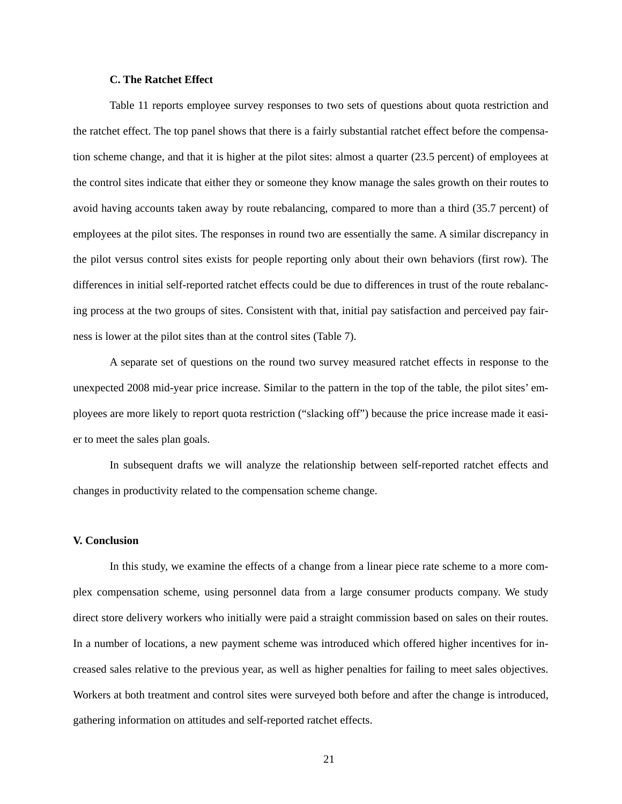## **C. The Ratchet Effect**

Table 11 reports employee survey responses to two sets of questions about quota restriction and the ratchet effect. The top panel shows that there is a fairly substantial ratchet effect before the compensation scheme change, and that it is higher at the pilot sites: almost a quarter (23.5 percent) of employees at the control sites indicate that either they or someone they know manage the sales growth on their routes to avoid having accounts taken away by route rebalancing, compared to more than a third (35.7 percent) of employees at the pilot sites. The responses in round two are essentially the same. A similar discrepancy in the pilot versus control sites exists for people reporting only about their own behaviors (first row). The differences in initial self-reported ratchet effects could be due to differences in trust of the route rebalancing process at the two groups of sites. Consistent with that, initial pay satisfaction and perceived pay fairness is lower at the pilot sites than at the control sites (Table 7).

A separate set of questions on the round two survey measured ratchet effects in response to the unexpected 2008 mid-year price increase. Similar to the pattern in the top of the table, the pilot sites' employees are more likely to report quota restriction ("slacking off") because the price increase made it easier to meet the sales plan goals.

In subsequent drafts we will analyze the relationship between self-reported ratchet effects and changes in productivity related to the compensation scheme change.

## **V. Conclusion**

In this study, we examine the effects of a change from a linear piece rate scheme to a more complex compensation scheme, using personnel data from a large consumer products company. We study direct store delivery workers who initially were paid a straight commission based on sales on their routes. In a number of locations, a new payment scheme was introduced which offered higher incentives for increased sales relative to the previous year, as well as higher penalties for failing to meet sales objectives. Workers at both treatment and control sites were surveyed both before and after the change is introduced, gathering information on attitudes and self-reported ratchet effects.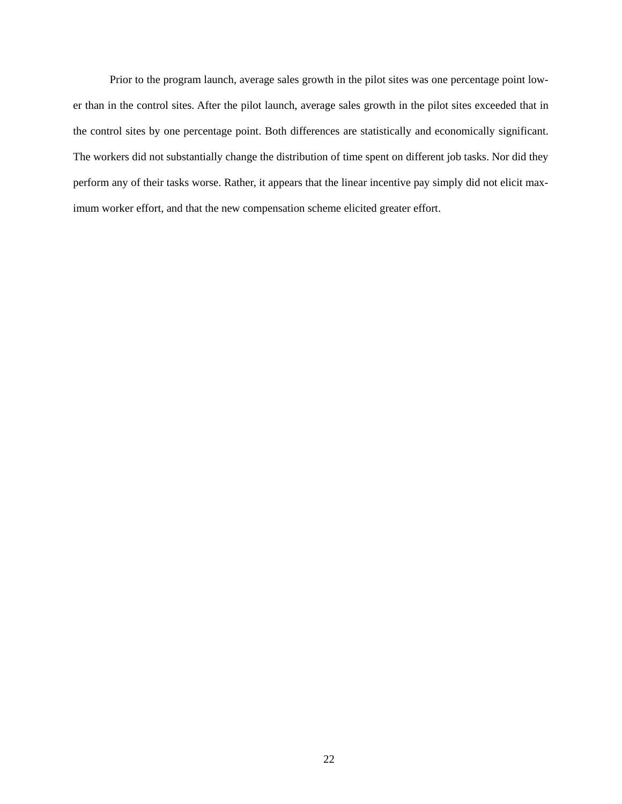Prior to the program launch, average sales growth in the pilot sites was one percentage point lower than in the control sites. After the pilot launch, average sales growth in the pilot sites exceeded that in the control sites by one percentage point. Both differences are statistically and economically significant. The workers did not substantially change the distribution of time spent on different job tasks. Nor did they perform any of their tasks worse. Rather, it appears that the linear incentive pay simply did not elicit maximum worker effort, and that the new compensation scheme elicited greater effort.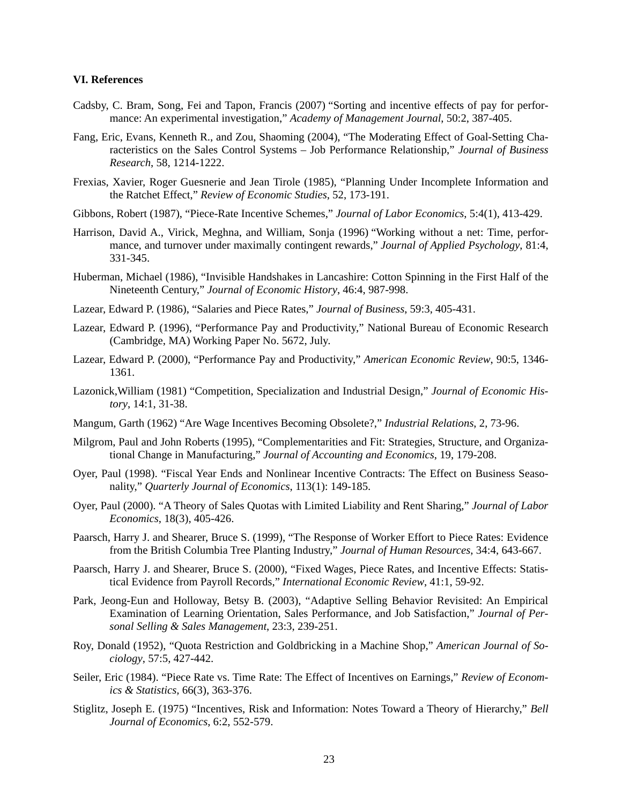## **VI. References**

- Cadsby, C. Bram, Song, Fei and Tapon, Francis (2007) "Sorting and incentive effects of pay for performance: An experimental investigation," *Academy of Management Journal*, 50:2, 387-405.
- Fang, Eric, Evans, Kenneth R., and Zou, Shaoming (2004), "The Moderating Effect of Goal-Setting Characteristics on the Sales Control Systems – Job Performance Relationship," *Journal of Business Research*, 58, 1214-1222.
- Frexias, Xavier, Roger Guesnerie and Jean Tirole (1985), "Planning Under Incomplete Information and the Ratchet Effect," *Review of Economic Studies*, 52, 173-191.
- Gibbons, Robert (1987), "Piece-Rate Incentive Schemes," *Journal of Labor Economics*, 5:4(1), 413-429.
- Harrison, David A., Virick, Meghna, and William, Sonja (1996) "Working without a net: Time, performance, and turnover under maximally contingent rewards," *Journal of Applied Psychology*, 81:4, 331-345.
- Huberman, Michael (1986), "Invisible Handshakes in Lancashire: Cotton Spinning in the First Half of the Nineteenth Century," *Journal of Economic History*, 46:4, 987-998.
- Lazear, Edward P. (1986), "Salaries and Piece Rates," *Journal of Business*, 59:3, 405-431.
- Lazear, Edward P. (1996), "Performance Pay and Productivity," National Bureau of Economic Research (Cambridge, MA) Working Paper No. 5672, July.
- Lazear, Edward P. (2000), "Performance Pay and Productivity," *American Economic Review*, 90:5, 1346- 1361.
- Lazonick,William (1981) "Competition, Specialization and Industrial Design," *Journal of Economic History*, 14:1, 31-38.
- Mangum, Garth (1962) "Are Wage Incentives Becoming Obsolete?," *Industrial Relations*, 2, 73-96.
- Milgrom, Paul and John Roberts (1995), "Complementarities and Fit: Strategies, Structure, and Organizational Change in Manufacturing," *Journal of Accounting and Economics*, 19, 179-208.
- Oyer, Paul (1998). "Fiscal Year Ends and Nonlinear Incentive Contracts: The Effect on Business Seasonality," *Quarterly Journal of Economics*, 113(1): 149-185.
- Oyer, Paul (2000). "A Theory of Sales Quotas with Limited Liability and Rent Sharing," *Journal of Labor Economics*, 18(3), 405-426.
- Paarsch, Harry J. and Shearer, Bruce S. (1999), "The Response of Worker Effort to Piece Rates: Evidence from the British Columbia Tree Planting Industry," *Journal of Human Resources*, 34:4, 643-667.
- Paarsch, Harry J. and Shearer, Bruce S. (2000), "Fixed Wages, Piece Rates, and Incentive Effects: Statistical Evidence from Payroll Records," *International Economic Review*, 41:1, 59-92.
- Park, Jeong-Eun and Holloway, Betsy B. (2003), "Adaptive Selling Behavior Revisited: An Empirical Examination of Learning Orientation, Sales Performance, and Job Satisfaction," *Journal of Personal Selling & Sales Management*, 23:3, 239-251.
- Roy, Donald (1952), "Quota Restriction and Goldbricking in a Machine Shop," *American Journal of Sociology*, 57:5, 427-442.
- Seiler, Eric (1984). "Piece Rate vs. Time Rate: The Effect of Incentives on Earnings," *Review of Economics & Statistics,* 66(3), 363-376.
- Stiglitz, Joseph E. (1975) "Incentives, Risk and Information: Notes Toward a Theory of Hierarchy," *Bell Journal of Economics*, 6:2, 552-579.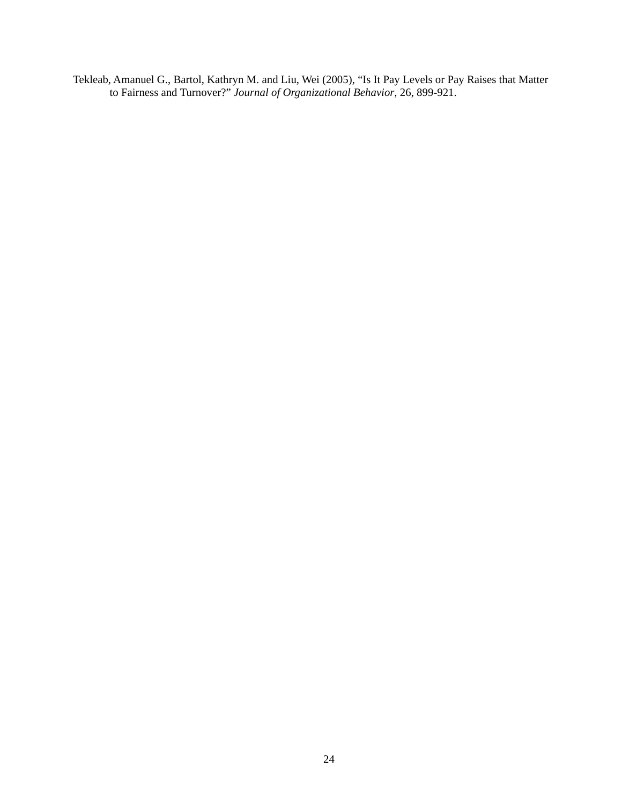Tekleab, Amanuel G., Bartol, Kathryn M. and Liu, Wei (2005), "Is It Pay Levels or Pay Raises that Matter to Fairness and Turnover?" *Journal of Organizational Behavior*, 26, 899-921.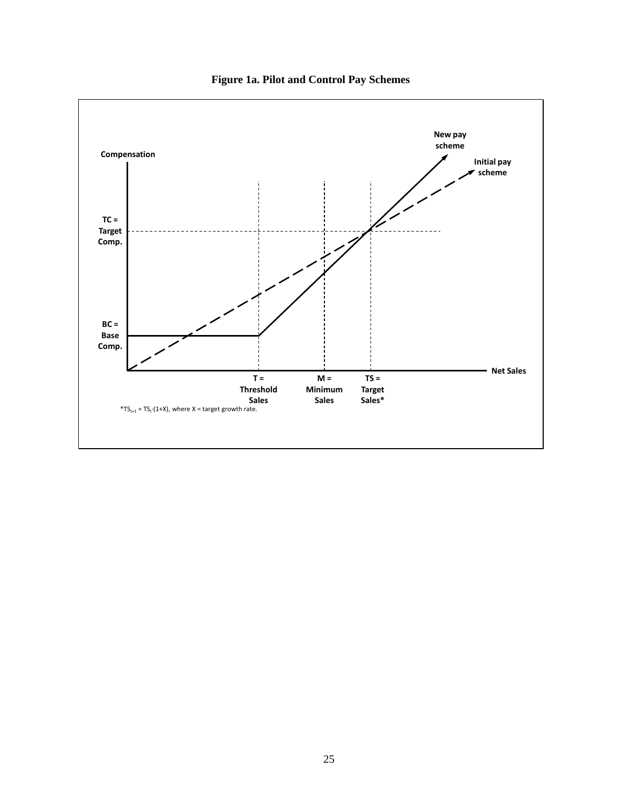

**Figure 1a. Pilot and Control Pay Schemes**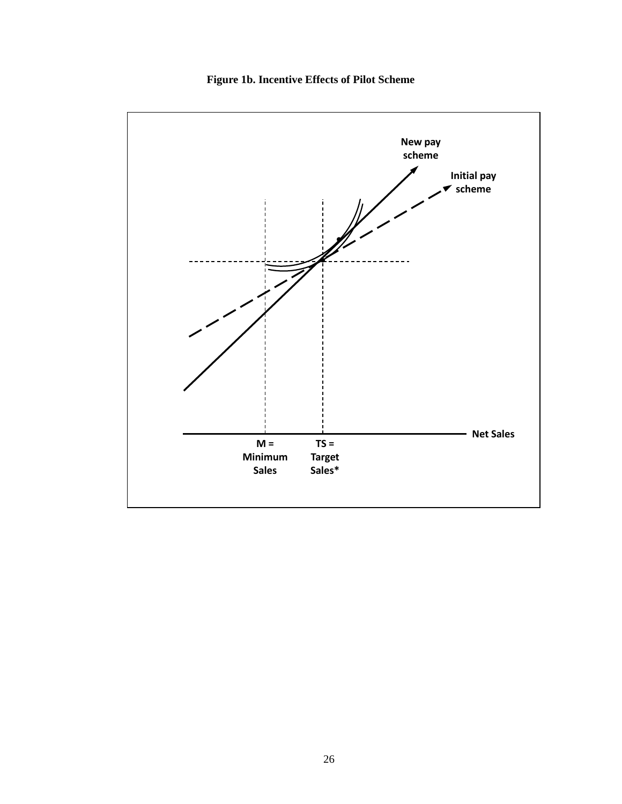

**Figure 1b. Incentive Effects of Pilot Scheme**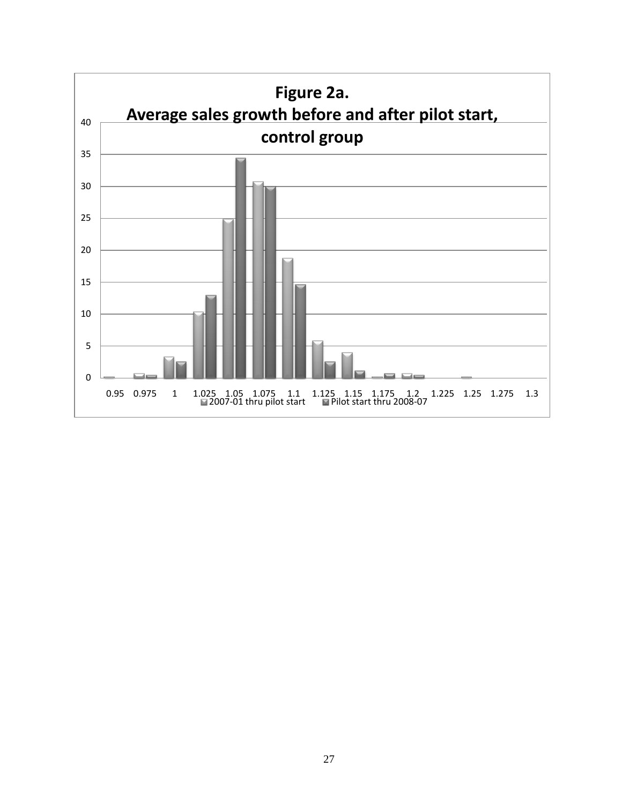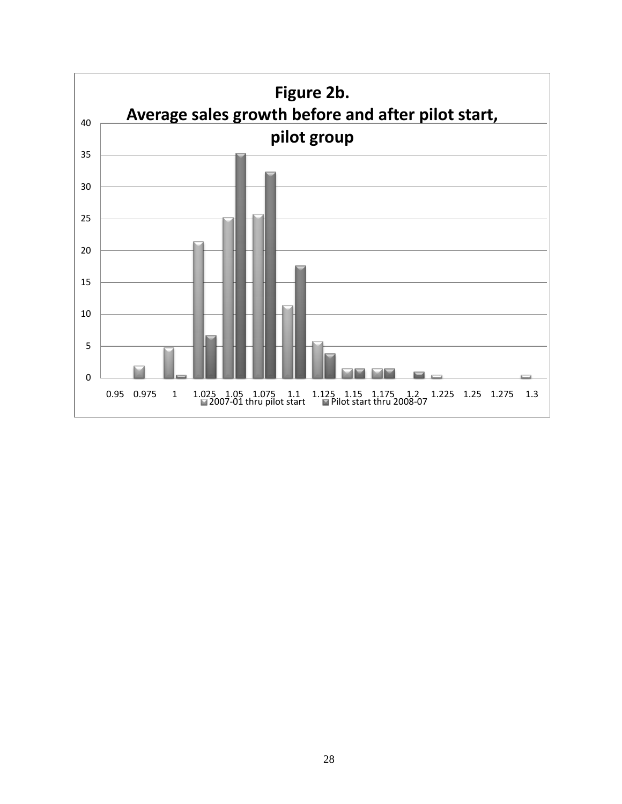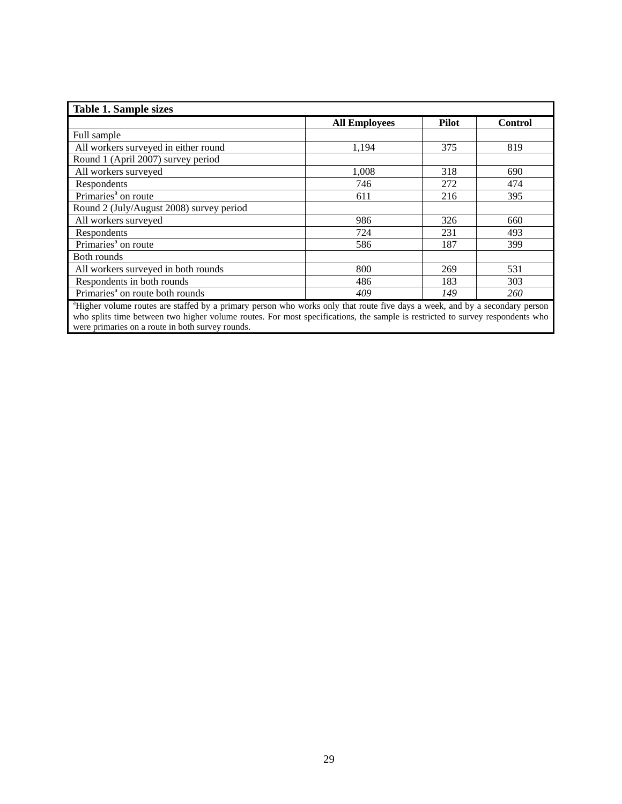| <b>Table 1. Sample sizes</b>                                                                                                |                      |              |                |  |  |  |
|-----------------------------------------------------------------------------------------------------------------------------|----------------------|--------------|----------------|--|--|--|
|                                                                                                                             | <b>All Employees</b> | <b>Pilot</b> | <b>Control</b> |  |  |  |
| Full sample                                                                                                                 |                      |              |                |  |  |  |
| All workers surveyed in either round                                                                                        | 1,194                | 375          | 819            |  |  |  |
| Round 1 (April 2007) survey period                                                                                          |                      |              |                |  |  |  |
| All workers surveyed                                                                                                        | 1,008                | 318          | 690            |  |  |  |
| Respondents                                                                                                                 | 746                  | 272          | 474            |  |  |  |
| Primaries <sup>a</sup> on route                                                                                             | 611                  | 216          | 395            |  |  |  |
| Round 2 (July/August 2008) survey period                                                                                    |                      |              |                |  |  |  |
| All workers surveyed                                                                                                        | 986                  | 326          | 660            |  |  |  |
| Respondents                                                                                                                 | 724                  | 231          | 493            |  |  |  |
| Primaries <sup>a</sup> on route                                                                                             | 586                  | 187          | 399            |  |  |  |
| Both rounds                                                                                                                 |                      |              |                |  |  |  |
| All workers surveyed in both rounds                                                                                         | 800                  | 269          | 531            |  |  |  |
| Respondents in both rounds                                                                                                  | 486                  | 183          | 303            |  |  |  |
| Primaries <sup>a</sup> on route both rounds                                                                                 | 409                  | 149          | 260            |  |  |  |
| "Higher volume routes are staffed by a primary person who works only that route five days a week, and by a secondary person |                      |              |                |  |  |  |

who splits time between two higher volume routes. For most specifications, the sample is restricted to survey respondents who were primaries on a route in both survey rounds.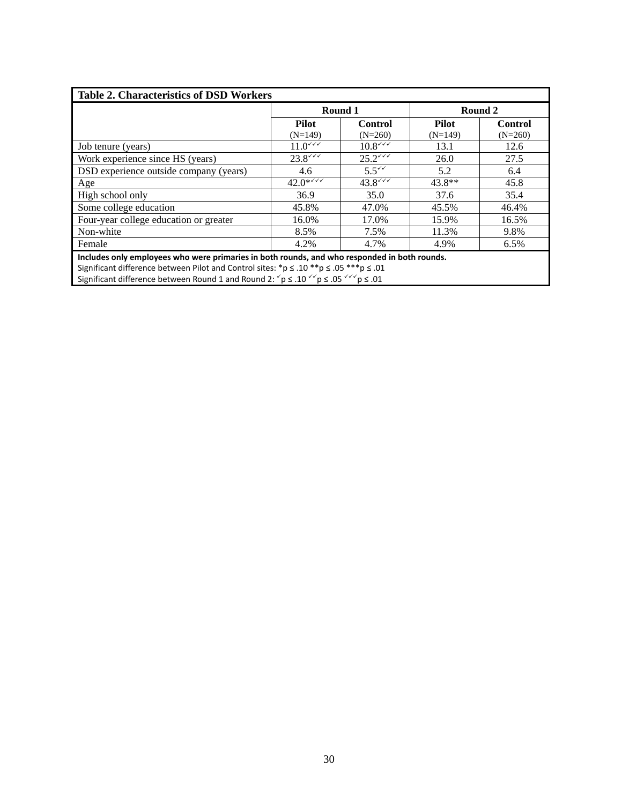| <b>Table 2. Characteristics of DSD Workers</b>                                                                                                  |                           |                      |                           |                      |  |  |  |
|-------------------------------------------------------------------------------------------------------------------------------------------------|---------------------------|----------------------|---------------------------|----------------------|--|--|--|
|                                                                                                                                                 | Round 1                   |                      |                           | Round 2              |  |  |  |
|                                                                                                                                                 | <b>Pilot</b><br>$(N=149)$ | Control<br>$(N=260)$ | <b>Pilot</b><br>$(N=149)$ | Control<br>$(N=260)$ |  |  |  |
| Job tenure (years)                                                                                                                              | $11.0$ $44$               | $10.8\sqrt{11}$      | 13.1                      | 12.6                 |  |  |  |
| Work experience since HS (years)                                                                                                                | $23.8$ $44$               | $25.2$ $44$          | 26.0                      | 27.5                 |  |  |  |
| DSD experience outside company (years)                                                                                                          | 4.6                       | 5.5 <sup>′</sup>     | 5.2                       | 6.4                  |  |  |  |
| Age                                                                                                                                             | $42.0***$                 | $43.8$ $43.8$        | $43.8**$                  | 45.8                 |  |  |  |
| High school only                                                                                                                                | 36.9                      | 35.0                 | 37.6                      | 35.4                 |  |  |  |
| Some college education                                                                                                                          | 45.8%                     | 47.0%                | 45.5%                     | 46.4%                |  |  |  |
| Four-year college education or greater                                                                                                          | 16.0%                     | 17.0%                | 15.9%                     | 16.5%                |  |  |  |
| Non-white                                                                                                                                       | 8.5%                      | 7.5%                 | 11.3%                     | 9.8%                 |  |  |  |
| Female                                                                                                                                          | 4.2%                      | 4.7%                 | 4.9%                      | 6.5%                 |  |  |  |
| Includes only employees who were primaries in both rounds, and who responded in both rounds.                                                    |                           |                      |                           |                      |  |  |  |
| Significant difference between Pilot and Control sites: *p ≤ .10 **p ≤ .05 ***p ≤ .01                                                           |                           |                      |                           |                      |  |  |  |
| Significant difference between Round 1 and Round 2: $\check{p} \le .10 \check{q}$ $\check{p} \le .05 \check{q}$ $\check{q}$ $\check{p} \le .01$ |                           |                      |                           |                      |  |  |  |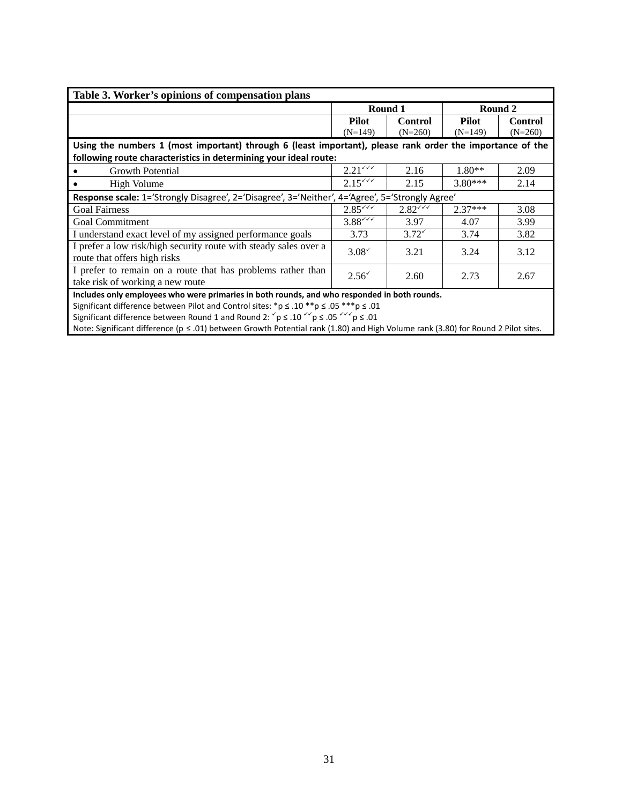| Table 3. Worker's opinions of compensation plans                                                          |                                                                                              |                |              |                |  |  |  |
|-----------------------------------------------------------------------------------------------------------|----------------------------------------------------------------------------------------------|----------------|--------------|----------------|--|--|--|
|                                                                                                           |                                                                                              | Round 1        | Round 2      |                |  |  |  |
|                                                                                                           | <b>Pilot</b>                                                                                 | <b>Control</b> | <b>Pilot</b> | <b>Control</b> |  |  |  |
|                                                                                                           | $(N=149)$                                                                                    | $(N=260)$      | $(N=149)$    | $(N=260)$      |  |  |  |
| Using the numbers 1 (most important) through 6 (least important), please rank order the importance of the |                                                                                              |                |              |                |  |  |  |
| following route characteristics in determining your ideal route:                                          |                                                                                              |                |              |                |  |  |  |
| <b>Growth Potential</b>                                                                                   | $2.21$ $44$                                                                                  | 2.16           | $1.80**$     | 2.09           |  |  |  |
| High Volume                                                                                               | $2.15***$                                                                                    | 2.15           | $3.80***$    | 2.14           |  |  |  |
| Response scale: 1='Strongly Disagree', 2='Disagree', 3='Neither', 4='Agree', 5='Strongly Agree'           |                                                                                              |                |              |                |  |  |  |
| <b>Goal Fairness</b>                                                                                      | $2.85^{6}$                                                                                   | $2.82***$      | $2.37***$    | 3.08           |  |  |  |
| <b>Goal Commitment</b>                                                                                    | $3.88***$                                                                                    | 3.97           | 4.07         | 3.99           |  |  |  |
| I understand exact level of my assigned performance goals                                                 | 3.73                                                                                         | $3.72^{\circ}$ | 3.74         | 3.82           |  |  |  |
| I prefer a low risk/high security route with steady sales over a                                          | $3.08^{\circ}$                                                                               | 3.21           | 3.24         | 3.12           |  |  |  |
| route that offers high risks                                                                              |                                                                                              |                |              |                |  |  |  |
| I prefer to remain on a route that has problems rather than                                               | $2.56^{\circ}$                                                                               | 2.60           | 2.73         | 2.67           |  |  |  |
| take risk of working a new route                                                                          |                                                                                              |                |              |                |  |  |  |
|                                                                                                           | Includes only employees who were primaries in both rounds, and who responded in both rounds. |                |              |                |  |  |  |

Significant difference between Pilot and Control sites: \*p  $\leq$  .10 \*\*p  $\leq$  .05 \*\*\*p  $\leq$  .01

Significant difference between Round 1 and Round 2:  $\check{p} \leq .10 \check{q} \check{p} \leq .05 \check{q} \check{q} \check{p} \leq .01$ 

Note: Significant difference (p ≤ .01) between Growth Potential rank (1.80) and High Volume rank (3.80) for Round 2 Pilot sites.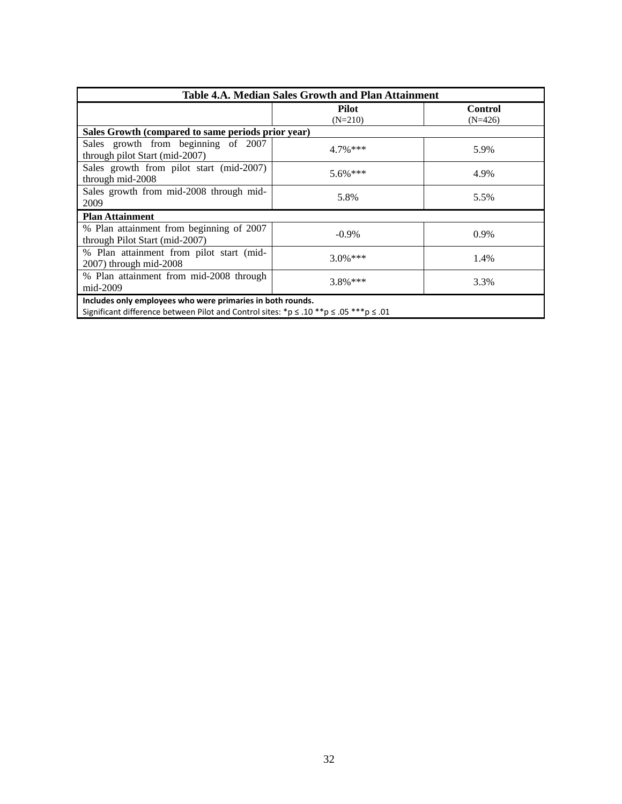| Table 4.A. Median Sales Growth and Plan Attainment                                                                                                  |                    |                             |  |  |  |  |
|-----------------------------------------------------------------------------------------------------------------------------------------------------|--------------------|-----------------------------|--|--|--|--|
|                                                                                                                                                     | Pilot<br>$(N=210)$ | <b>Control</b><br>$(N=426)$ |  |  |  |  |
| Sales Growth (compared to same periods prior year)                                                                                                  |                    |                             |  |  |  |  |
| Sales growth from beginning of 2007<br>through pilot Start (mid-2007)                                                                               | $4.7\%$ ***        | 5.9%                        |  |  |  |  |
| Sales growth from pilot start (mid-2007)<br>through mid-2008                                                                                        | $5.6\%***$         | 4.9%                        |  |  |  |  |
| Sales growth from mid-2008 through mid-<br>2009                                                                                                     | 5.8%               | 5.5%                        |  |  |  |  |
| <b>Plan Attainment</b>                                                                                                                              |                    |                             |  |  |  |  |
| % Plan attainment from beginning of 2007<br>through Pilot Start (mid-2007)                                                                          | $-0.9\%$           | 0.9%                        |  |  |  |  |
| % Plan attainment from pilot start (mid-<br>$2007$ ) through mid- $2008$                                                                            | $3.0\%$ ***        | 1.4%                        |  |  |  |  |
| % Plan attainment from mid-2008 through<br>mid-2009                                                                                                 | $3.8\%$ ***        | 3.3%                        |  |  |  |  |
| Includes only employees who were primaries in both rounds.<br>Significant difference between Pilot and Control sites: *p ≤ .10 **p ≤ .05 ***p ≤ .01 |                    |                             |  |  |  |  |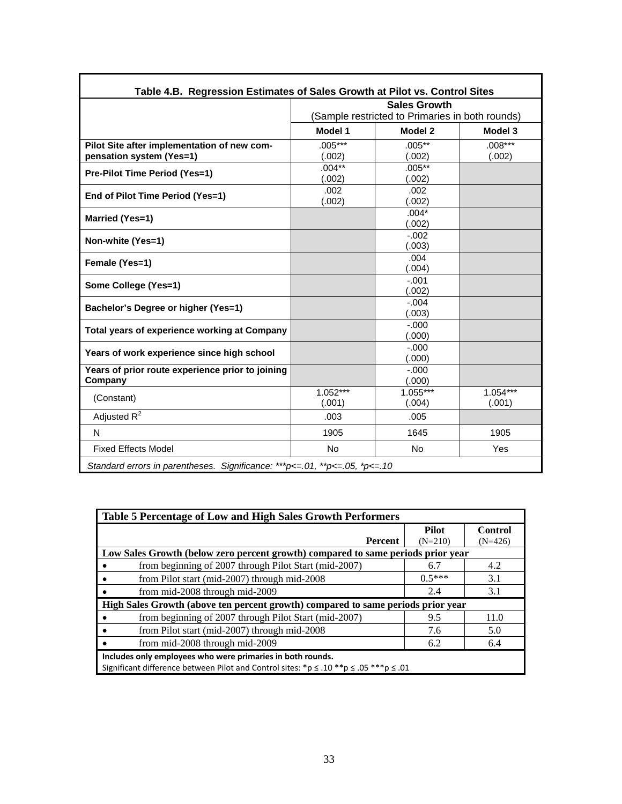|                                                                         |                      | <b>Sales Growth</b>                                        |                      |
|-------------------------------------------------------------------------|----------------------|------------------------------------------------------------|----------------------|
|                                                                         | Model 1              | (Sample restricted to Primaries in both rounds)<br>Model 2 | Model 3              |
| Pilot Site after implementation of new com-<br>pensation system (Yes=1) | $.005***$<br>(.002)  | $.005**$<br>(.002)                                         | $.008***$<br>(.002)  |
| Pre-Pilot Time Period (Yes=1)                                           | $.004**$<br>(.002)   | $.005***$<br>(.002)                                        |                      |
| End of Pilot Time Period (Yes=1)                                        | .002<br>(.002)       | .002<br>(.002)                                             |                      |
| Married (Yes=1)                                                         |                      | $.004*$<br>(.002)                                          |                      |
| Non-white (Yes=1)                                                       |                      | $-.002$<br>(.003)                                          |                      |
| Female (Yes=1)                                                          |                      | .004<br>(.004)                                             |                      |
| Some College (Yes=1)                                                    |                      | $-.001$<br>(.002)                                          |                      |
| Bachelor's Degree or higher (Yes=1)                                     |                      | $-.004$<br>(.003)                                          |                      |
| Total years of experience working at Company                            |                      | $-.000$<br>(.000)                                          |                      |
| Years of work experience since high school                              |                      | $-.000$<br>(.000)                                          |                      |
| Years of prior route experience prior to joining<br>Company             |                      | $-.000$<br>(.000)                                          |                      |
| (Constant)                                                              | $1.052***$<br>(.001) | $1.055***$<br>(.004)                                       | $1.054***$<br>(.001) |
| Adjusted $R^2$                                                          | .003                 | .005                                                       |                      |
| N                                                                       | 1905                 | 1645                                                       | 1905                 |
| <b>Fixed Effects Model</b>                                              | <b>No</b>            | <b>No</b>                                                  | Yes                  |

| Table 5 Percentage of Low and High Sales Growth Performers                                        |              |           |  |  |  |  |
|---------------------------------------------------------------------------------------------------|--------------|-----------|--|--|--|--|
|                                                                                                   | <b>Pilot</b> | Control   |  |  |  |  |
| Percent                                                                                           | $(N=210)$    | $(N=426)$ |  |  |  |  |
| Low Sales Growth (below zero percent growth) compared to same periods prior year                  |              |           |  |  |  |  |
| from beginning of 2007 through Pilot Start (mid-2007)                                             | 6.7          | 4.2       |  |  |  |  |
| from Pilot start (mid-2007) through mid-2008                                                      | $05***$      | 3.1       |  |  |  |  |
| from mid-2008 through mid-2009                                                                    | 2.4          | 3.1       |  |  |  |  |
| High Sales Growth (above ten percent growth) compared to same periods prior year                  |              |           |  |  |  |  |
| from beginning of 2007 through Pilot Start (mid-2007)                                             | 9.5          | 11.0      |  |  |  |  |
| from Pilot start (mid-2007) through mid-2008                                                      | 7.6          | 5.0       |  |  |  |  |
| from mid-2008 through mid-2009                                                                    | 6.2          | 6.4       |  |  |  |  |
| Includes only employees who were primaries in both rounds.                                        |              |           |  |  |  |  |
| Significant difference between Pilot and Control sites: *p $\le$ .10 **p $\le$ .05 ***p $\le$ .01 |              |           |  |  |  |  |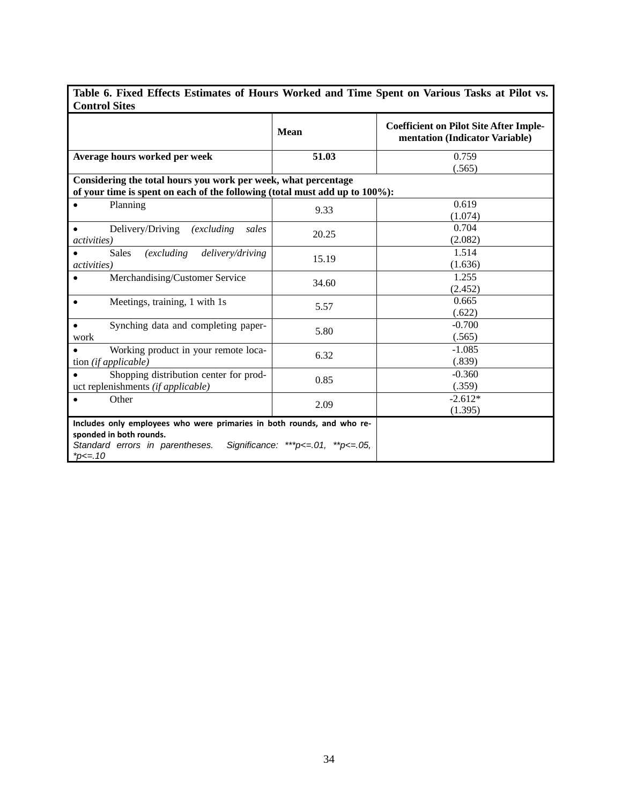| Table 6. Fixed Effects Estimates of Hours Worked and Time Spent on Various Tasks at Pilot vs. |  |  |
|-----------------------------------------------------------------------------------------------|--|--|
| <b>Control Sites</b>                                                                          |  |  |
|                                                                                               |  |  |

ľ

|                                                                                                                                                            | <b>Mean</b>                          | <b>Coefficient on Pilot Site After Imple-</b><br>mentation (Indicator Variable) |
|------------------------------------------------------------------------------------------------------------------------------------------------------------|--------------------------------------|---------------------------------------------------------------------------------|
| Average hours worked per week                                                                                                                              | 51.03                                | 0.759                                                                           |
| Considering the total hours you work per week, what percentage<br>of your time is spent on each of the following (total must add up to 100%):              | (.565)                               |                                                                                 |
| Planning                                                                                                                                                   | 9.33                                 | 0.619<br>(1.074)                                                                |
| Delivery/Driving<br><i>(excluding)</i><br>sales<br><i>activities</i> )                                                                                     | 20.25                                | 0.704<br>(2.082)                                                                |
| <i>(excluding)</i><br>delivery/driving<br><b>Sales</b><br><i>activities</i> )                                                                              | 15.19                                | 1.514<br>(1.636)                                                                |
| Merchandising/Customer Service                                                                                                                             | 34.60                                | 1.255<br>(2.452)                                                                |
| Meetings, training, 1 with 1s<br>$\bullet$                                                                                                                 | 5.57                                 | 0.665<br>(.622)                                                                 |
| Synching data and completing paper-<br>work                                                                                                                | 5.80                                 | $-0.700$<br>(.565)                                                              |
| Working product in your remote loca-<br>tion (if applicable)                                                                                               | 6.32                                 | $-1.085$<br>(.839)                                                              |
| Shopping distribution center for prod-<br>uct replenishments (if applicable)                                                                               | 0.85                                 | $-0.360$<br>(.359)                                                              |
| Other                                                                                                                                                      | 2.09                                 | $-2.612*$<br>(1.395)                                                            |
| Includes only employees who were primaries in both rounds, and who re-<br>sponded in both rounds.<br>Standard errors in parentheses.<br>$*_{D \leq x, 10}$ | Significance: ***p <= 01, **p <= 05, |                                                                                 |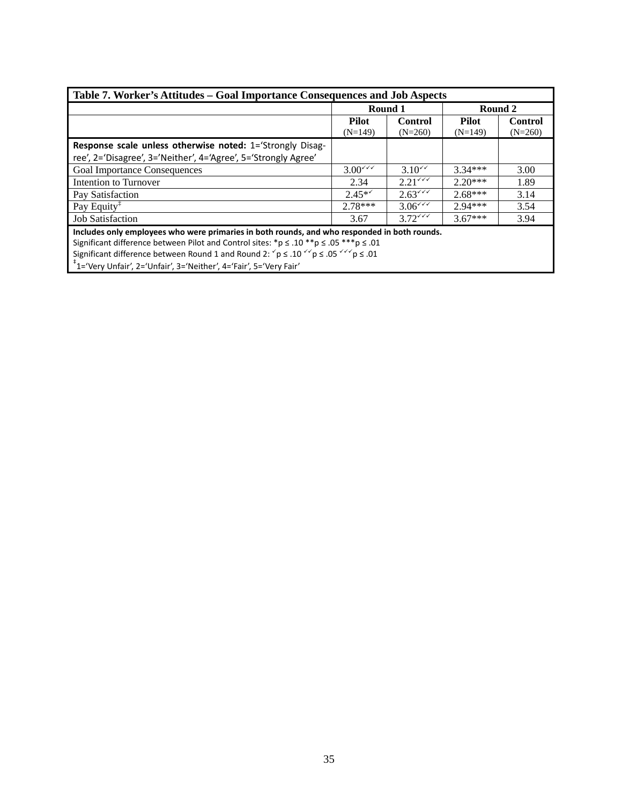| Table 7. Worker's Attitudes – Goal Importance Consequences and Job Aspects                                                                 |                     |                                           |           |                |  |  |  |
|--------------------------------------------------------------------------------------------------------------------------------------------|---------------------|-------------------------------------------|-----------|----------------|--|--|--|
|                                                                                                                                            | Round 1             |                                           |           | Round 2        |  |  |  |
|                                                                                                                                            | <b>Pilot</b>        | <b>Control</b>                            | Pilot     | <b>Control</b> |  |  |  |
|                                                                                                                                            | $(N=149)$           | $(N=260)$                                 | $(N=149)$ | $(N=260)$      |  |  |  |
| Response scale unless otherwise noted: 1='Strongly Disag-                                                                                  |                     |                                           |           |                |  |  |  |
| ree', 2='Disagree', 3='Neither', 4='Agree', 5='Strongly Agree'                                                                             |                     |                                           |           |                |  |  |  |
| <b>Goal Importance Consequences</b>                                                                                                        | $3.00$ $\checkmark$ | $3.10^{44}$                               | $3.34***$ | 3.00           |  |  |  |
| Intention to Turnover                                                                                                                      | 2.34                | $2.21^{\sqrt{7}}$                         | $2.20***$ | 1.89           |  |  |  |
| Pay Satisfaction                                                                                                                           | $2.45**$            | 2.63                                      | $2.68***$ | 3.14           |  |  |  |
| Pay Equity <sup>1</sup>                                                                                                                    | $2.78***$           | $3.06$ <sup><math>\checkmark</math></sup> | $2.94***$ | 3.54           |  |  |  |
| <b>Job Satisfaction</b>                                                                                                                    | 3.67                | $3.72$ $44$                               | $3.67***$ | 3.94           |  |  |  |
| Includes only employees who were primaries in both rounds, and who responded in both rounds.                                               |                     |                                           |           |                |  |  |  |
| Significant difference between Pilot and Control sites: *p $\le$ .10 **p $\le$ .05 ***p $\le$ .01                                          |                     |                                           |           |                |  |  |  |
| Significant difference between Round 1 and Round 2: $\gamma$ $p \le 0.10$ $\gamma \gamma$ $p \le 0.05$ $\gamma \gamma \gamma$ $p \le 0.01$ |                     |                                           |           |                |  |  |  |
| <sup>#</sup> 1='Very Unfair', 2='Unfair', 3='Neither', 4='Fair', 5='Very Fair'                                                             |                     |                                           |           |                |  |  |  |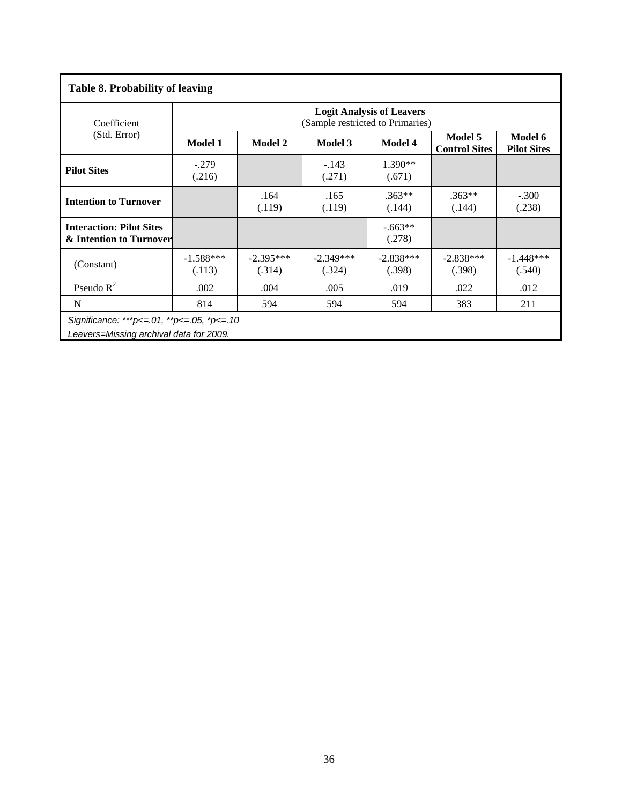| <b>Table 8. Probability of leaving</b>                                                   |                       |                                                                                                                 |                                  |                                  |                       |                       |  |  |  |
|------------------------------------------------------------------------------------------|-----------------------|-----------------------------------------------------------------------------------------------------------------|----------------------------------|----------------------------------|-----------------------|-----------------------|--|--|--|
| Coefficient                                                                              |                       |                                                                                                                 | (Sample restricted to Primaries) | <b>Logit Analysis of Leavers</b> |                       |                       |  |  |  |
| (Std. Error)                                                                             | <b>Model 1</b>        | Model 5<br>Model 6<br>Model 3<br><b>Model 2</b><br><b>Model 4</b><br><b>Control Sites</b><br><b>Pilot Sites</b> |                                  |                                  |                       |                       |  |  |  |
| <b>Pilot Sites</b>                                                                       | $-.279$<br>(.216)     |                                                                                                                 | $-143$<br>(.271)                 | $1.390**$<br>(.671)              |                       |                       |  |  |  |
| <b>Intention to Turnover</b>                                                             |                       | .164<br>(.119)                                                                                                  | .165<br>(.119)                   | $.363**$<br>(.144)               | $.363**$<br>(.144)    | $-.300$<br>(.238)     |  |  |  |
| <b>Interaction: Pilot Sites</b><br>& Intention to Turnover                               |                       |                                                                                                                 |                                  | $-.663**$<br>(.278)              |                       |                       |  |  |  |
| (Constant)                                                                               | $-1.588***$<br>(.113) | $-2.395***$<br>(.314)                                                                                           | $-2.349***$<br>(.324)            | $-2.838***$<br>(.398)            | $-2.838***$<br>(.398) | $-1.448***$<br>(.540) |  |  |  |
| Pseudo $R^2$                                                                             | .002                  | .004                                                                                                            | .005                             | .019                             | .022                  | .012                  |  |  |  |
| N                                                                                        | 814                   | 594                                                                                                             | 594                              | 594                              | 383                   | 211                   |  |  |  |
| Significance: ***p <= 01, **p <= 05, *p <= 10<br>Leavers=Missing archival data for 2009. |                       |                                                                                                                 |                                  |                                  |                       |                       |  |  |  |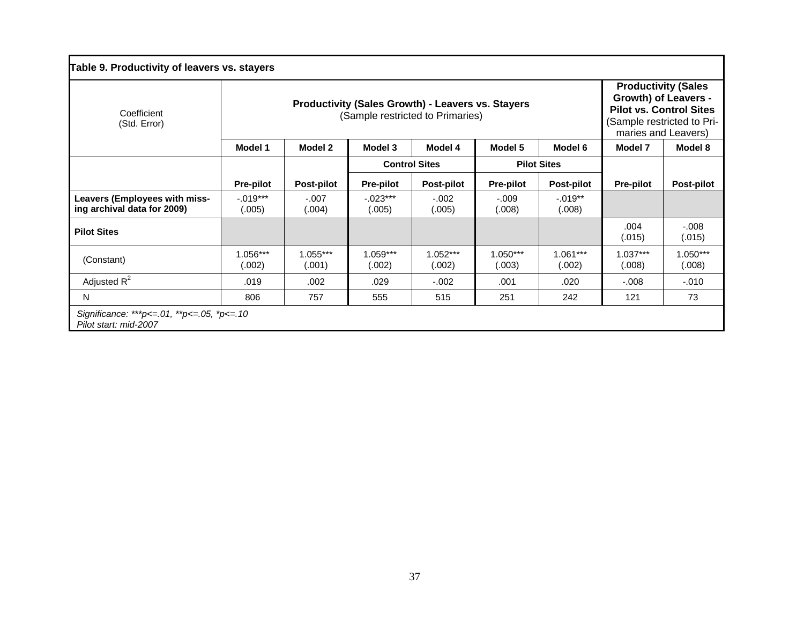| Coefficient<br>(Std. Error)                                         | <b>Productivity (Sales Growth) - Leavers vs. Stayers</b><br>(Sample restricted to Primaries) |                                              |                                            |                      |                    |                      |                      | <b>Productivity (Sales</b><br>Growth) of Leavers -<br><b>Pilot vs. Control Sites</b><br>(Sample restricted to Pri-<br>maries and Leavers) |  |
|---------------------------------------------------------------------|----------------------------------------------------------------------------------------------|----------------------------------------------|--------------------------------------------|----------------------|--------------------|----------------------|----------------------|-------------------------------------------------------------------------------------------------------------------------------------------|--|
|                                                                     | Model 1                                                                                      | Model 2                                      | Model 3<br>Model 4<br>Model 5<br>Model 6   |                      |                    |                      | Model 7              | Model 8                                                                                                                                   |  |
|                                                                     |                                                                                              |                                              | <b>Control Sites</b><br><b>Pilot Sites</b> |                      |                    |                      |                      |                                                                                                                                           |  |
|                                                                     | <b>Pre-pilot</b>                                                                             | <b>Post-pilot</b>                            | <b>Pre-pilot</b>                           | <b>Post-pilot</b>    | <b>Pre-pilot</b>   | <b>Post-pilot</b>    | <b>Pre-pilot</b>     | <b>Post-pilot</b>                                                                                                                         |  |
| <b>Leavers (Employees with miss-</b><br>ing archival data for 2009) | $-.019***$<br>(.005)                                                                         | $-.007$<br>(.004)                            | $-.023***$<br>(.005)                       | $-.002$<br>(.005)    | $-.009$<br>(.008)  | $-.019**$<br>(.008)  |                      |                                                                                                                                           |  |
| <b>Pilot Sites</b>                                                  |                                                                                              |                                              |                                            |                      |                    |                      | .004<br>(.015)       | $-0.008$<br>(.015)                                                                                                                        |  |
| (Constant)                                                          | $1.056***$<br>(.002)                                                                         | $1.055***$<br>(.001)                         | 1.059***<br>(.002)                         | $1.052***$<br>(.002) | 1.050***<br>(.003) | $1.061***$<br>(.002) | $1.037***$<br>(.008) | 1.050***<br>(.008)                                                                                                                        |  |
| Adjusted $R^2$                                                      | .019                                                                                         | .002                                         | .029                                       | $-.002$              | .001               | .020                 | $-0.008$             | $-.010$                                                                                                                                   |  |
| N                                                                   | 806                                                                                          | 73<br>555<br>251<br>121<br>757<br>515<br>242 |                                            |                      |                    |                      |                      |                                                                                                                                           |  |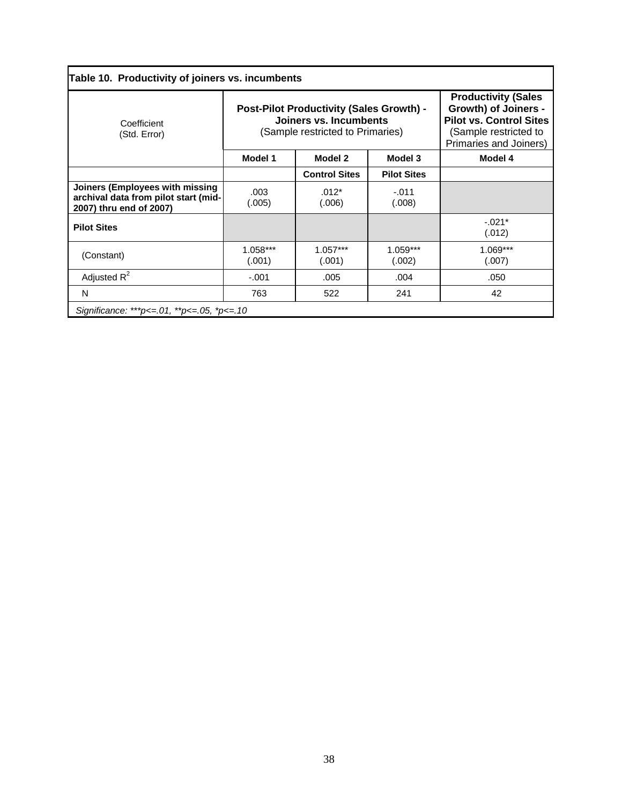| Table 10. Productivity of joiners vs. incumbents                                                   |                      |                                                                                                               |                                                                                                                                                |                      |  |  |
|----------------------------------------------------------------------------------------------------|----------------------|---------------------------------------------------------------------------------------------------------------|------------------------------------------------------------------------------------------------------------------------------------------------|----------------------|--|--|
| Coefficient<br>(Std. Error)                                                                        |                      | <b>Post-Pilot Productivity (Sales Growth) -</b><br>Joiners vs. Incumbents<br>(Sample restricted to Primaries) | <b>Productivity (Sales</b><br><b>Growth) of Joiners -</b><br><b>Pilot vs. Control Sites</b><br>(Sample restricted to<br>Primaries and Joiners) |                      |  |  |
|                                                                                                    | Model 1              | Model 2                                                                                                       | Model 4                                                                                                                                        |                      |  |  |
|                                                                                                    |                      | <b>Control Sites</b>                                                                                          | <b>Pilot Sites</b>                                                                                                                             |                      |  |  |
| Joiners (Employees with missing<br>archival data from pilot start (mid-<br>2007) thru end of 2007) | .003<br>(.005)       | $.012*$<br>(.006)                                                                                             | $-.011$<br>(.008)                                                                                                                              |                      |  |  |
| <b>Pilot Sites</b>                                                                                 |                      |                                                                                                               |                                                                                                                                                | $-.021*$<br>(.012)   |  |  |
| (Constant)                                                                                         | $1.058***$<br>(.001) | $1.057***$<br>(.001)                                                                                          | 1.059***<br>(.002)                                                                                                                             | $1.069***$<br>(.007) |  |  |
| Adjusted $R^2$                                                                                     | $-.001$              | .005                                                                                                          | .004                                                                                                                                           | .050                 |  |  |
| N                                                                                                  | 763                  | 522                                                                                                           | 241                                                                                                                                            | 42                   |  |  |
| Significance: ***p <= 01, **p <= 05, *p <= 10                                                      |                      |                                                                                                               |                                                                                                                                                |                      |  |  |